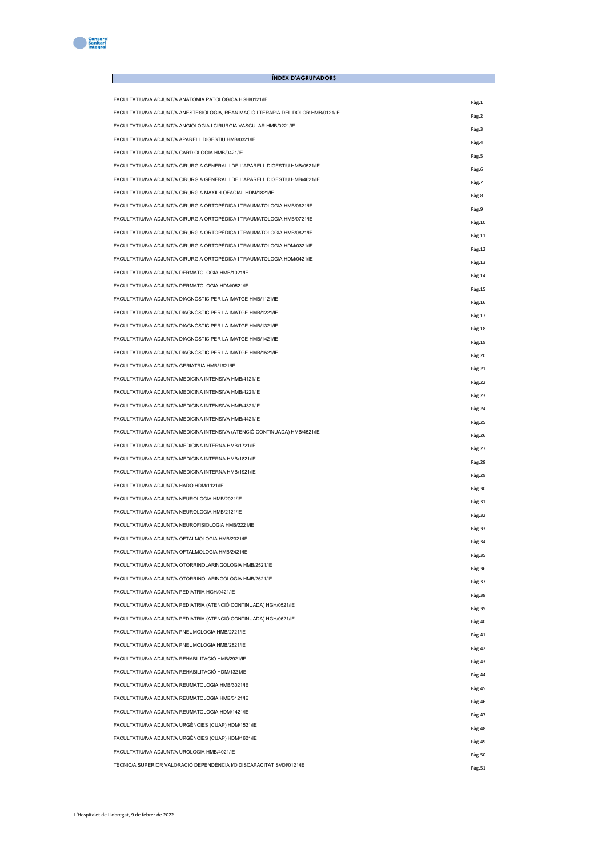

| <b>INDEX D'AGRUPADORS</b>                                                          |       |
|------------------------------------------------------------------------------------|-------|
|                                                                                    |       |
| FACULTATIU/IVA ADJUNT/A ANATOMIA PATOLÒGICA HGH/0121/IF                            | Pàg.1 |
| FACULTATIU/IVA ADJUNT/A ANESTESIOLOGIA. REANIMACIÓ I TERAPIA DEL DOLOR HMB/0121/IE | Pàg.2 |
| FACULTATIU/IVA ADJUNT/A ANGIOLOGIA I CIRURGIA VASCULAR HMB/0221/IE                 | Pàg.3 |
| FACULTATIU/IVA ADJUNT/A APARELL DIGESTIU HMB/0321/IE                               | Pàg.4 |
| FACULTATIU/IVA ADJUNT/A CARDIOLOGIA HMB/0421/IF                                    |       |
| <b>EACULTATILINA ADJUNTA CIDUDOIA CENEDAL LDE UADADEUL DICECTILLIMO (CEQARE</b>    | Pàg.5 |

| FACULTATIU/IVA ADJUNT/A CIRURGIA GENERAL I DE L'APARELL DIGESTIU HMB/0521/IE | Pàg.6  |
|------------------------------------------------------------------------------|--------|
| FACULTATIU/IVA ADJUNT/A CIRURGIA GENERAL I DE L'APARELL DIGESTIU HMB/4621/IE | Pàg.7  |
| FACULTATIU/IVA ADJUNT/A CIRURGIA MAXIL·LOFACIAL HDM/1821/IE                  | Pàg.8  |
| FACULTATIU/IVA ADJUNT/A CIRURGIA ORTOPÈDICA I TRAUMATOLOGIA HMB/0621/IE      | Pàg.9  |
| FACULTATIU/IVA ADJUNT/A CIRURGIA ORTOPÈDICA I TRAUMATOLOGIA HMB/0721/IE      | Pàg.10 |
| FACULTATIU/IVA ADJUNT/A CIRURGIA ORTOPÈDICA I TRAUMATOLOGIA HMB/0821/IE      | Pàg.11 |
| FACULTATIU/IVA ADJUNT/A CIRURGIA ORTOPÈDICA I TRAUMATOLOGIA HDM/0321/IE      | Pàg.12 |
| FACULTATIU/IVA ADJUNT/A CIRURGIA ORTOPÈDICA I TRAUMATOLOGIA HDM/0421/IE      | Pàg.13 |
| FACULTATIU/IVA ADJUNT/A DERMATOLOGIA HMB/1021/IE                             | Pàg.14 |
| FACULTATIU/IVA ADJUNT/A DERMATOLOGIA HDM/0521/IE                             | Pàg.15 |
| FACULTATIU/IVA ADJUNT/A DIAGNÒSTIC PER LA IMATGE HMB/1121/IE                 | Pàg.16 |
| FACULTATIU/IVA ADJUNT/A DIAGNÒSTIC PER LA IMATGE HMB/1221/IE                 | Pàg.17 |
| FACULTATIU/IVA ADJUNT/A DIAGNÒSTIC PER LA IMATGE HMB/1321/IE                 | Pàg.18 |
| FACULTATIU/IVA ADJUNT/A DIAGNÒSTIC PER LA IMATGE HMB/1421/IE                 | Pàg.19 |
| FACULTATIU/IVA ADJUNT/A DIAGNÒSTIC PER LA IMATGE HMB/1521/IE                 | Pàg.20 |
| FACULTATIU/IVA ADJUNT/A GERIATRIA HMB/1621/IE                                | Pàg.21 |
| FACULTATIU/IVA ADJUNT/A MEDICINA INTENSIVA HMB/4121/IE                       | Pàg.22 |
| FACULTATIU/IVA ADJUNT/A MEDICINA INTENSIVA HMB/4221/IE                       | Pàg.23 |
| FACULTATIU/IVA ADJUNT/A MEDICINA INTENSIVA HMB/4321/IE                       | Pàg.24 |
| FACULTATIU/IVA ADJUNT/A MEDICINA INTENSIVA HMB/4421/IE                       | Pàg.25 |
| FACULTATIU/IVA ADJUNT/A MEDICINA INTENSIVA (ATENCIÓ CONTINUADA) HMB/4521/IE  | Pàg.26 |
| FACULTATIU/IVA ADJUNT/A MEDICINA INTERNA HMB/1721/IE                         | Pàg.27 |
| FACULTATIU/IVA ADJUNT/A MEDICINA INTERNA HMB/1821/IE                         | Pàg.28 |
| FACULTATIU/IVA ADJUNT/A MEDICINA INTERNA HMB/1921/IE                         | Pàg.29 |
| FACULTATIU/IVA ADJUNT/A HADO HDM/1121/IE                                     | Pàg.30 |
| FACULTATIU/IVA ADJUNT/A NEUROLOGIA HMB/2021/IE                               | Pàg.31 |
| FACULTATIU/IVA ADJUNT/A NEUROLOGIA HMB/2121/IE                               | Pàg.32 |
| FACULTATIU/IVA ADJUNT/A NEUROFISIOLOGIA HMB/2221/IE                          | Pàg.33 |
| FACULTATIU/IVA ADJUNT/A OFTALMOLOGIA HMB/2321/IE                             | Pàg.34 |
| FACULTATIU/IVA ADJUNT/A OFTALMOLOGIA HMB/2421/IE                             | Pàg.35 |
| FACULTATIU/IVA ADJUNT/A OTORRINOLARINGOLOGIA HMB/2521/IE                     | Pàg.36 |
| FACULTATIU/IVA ADJUNT/A OTORRINOLARINGOLOGIA HMB/2621/IE                     | Pàg.37 |
| FACULTATIU/IVA ADJUNT/A PEDIATRIA HGH/0421/IE                                | Pàg.38 |
| FACULTATIU/IVA ADJUNT/A PEDIATRIA (ATENCIÓ CONTINUADA) HGH/0521/IE           | Pàg.39 |
| FACULTATIU/IVA ADJUNT/A PEDIATRIA (ATENCIÓ CONTINUADA) HGH/0621/IE           | Pag.40 |
| FACULTATIU/IVA ADJUNT/A PNEUMOLOGIA HMB/2721/IE                              | Pàg.41 |
| FACULTATIU/IVA ADJUNT/A PNEUMOLOGIA HMB/2821/IE                              | Pàg.42 |
| FACULTATIU/IVA ADJUNT/A REHABILITACIÓ HMB/2921/IE                            | Pàg.43 |
| FACULTATIU/IVA ADJUNT/A REHABILITACIÓ HDM/1321/IE                            | Pàg.44 |
| FACULTATIU/IVA ADJUNT/A REUMATOLOGIA HMB/3021/IE                             | Pàg.45 |
| FACULTATIU/IVA ADJUNT/A REUMATOLOGIA HMB/3121/IE                             | Pàg.46 |
| FACULTATIU/IVA ADJUNT/A REUMATOLOGIA HDM/1421/IE                             | Pàg.47 |
| FACULTATIU/IVA ADJUNT/A URGÈNCIES (CUAP) HDM/1521/IE                         | Pàg.48 |
| FACULTATIU/IVA ADJUNT/A URGÈNCIES (CUAP) HDM/1621/IE                         | Pàg.49 |
| FACULTATIU/IVA ADJUNT/A UROLOGIA HMB/4021/IE                                 | Pàg.50 |

TÈCNIC/A SUPERIOR VALORACIÓ DEPENDÈNCIA I/O DISCAPACITAT SVDI/0121/IE Pàg.51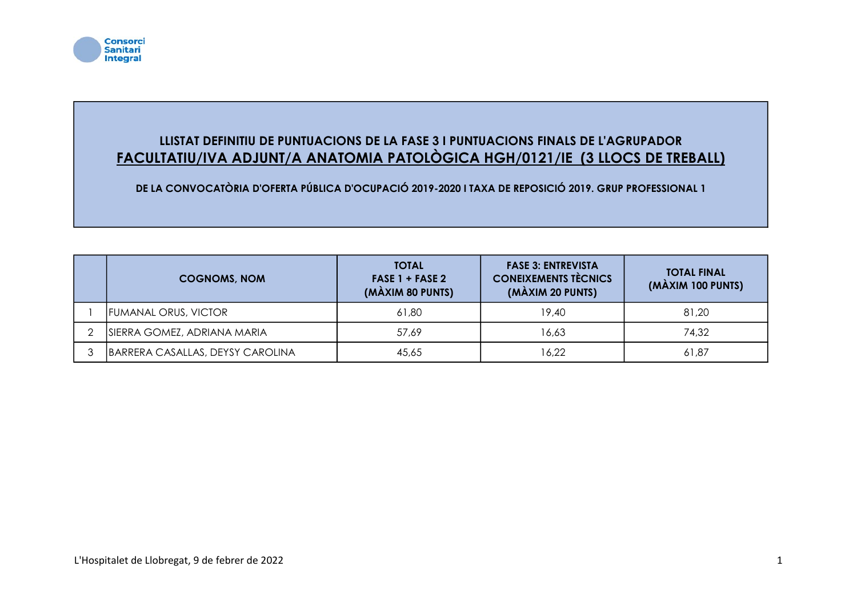

## LLISTAT DEFINITIU DE PUNTUACIONS DE LA FASE 3 I PUNTUACIONS FINALS DE L'AGRUPADOR FACULTATIU/IVA ADJUNT/A ANATOMIA PATOLÒGICA HGH/0121/IE (3 LLOCS DE TREBALL)

| <b>COGNOMS, NOM</b>              | <b>TOTAL</b><br>$FASE 1 + FASE 2$<br>(MÀXIM 80 PUNTS) | <b>FASE 3: ENTREVISTA</b><br><b>CONEIXEMENTS TÈCNICS</b><br>(MÀXIM 20 PUNTS) | <b>TOTAL FINAL</b><br>(MÀXIM 100 PUNTS) |
|----------------------------------|-------------------------------------------------------|------------------------------------------------------------------------------|-----------------------------------------|
| <b>FUMANAL ORUS, VICTOR</b>      | 61.80                                                 | 19,40                                                                        | 81.20                                   |
| SIERRA GOMEZ, ADRIANA MARIA      | 57,69                                                 | 16,63                                                                        | 74,32                                   |
| BARRERA CASALLAS, DEYSY CAROLINA | 45,65                                                 | 16,22                                                                        | 61.87                                   |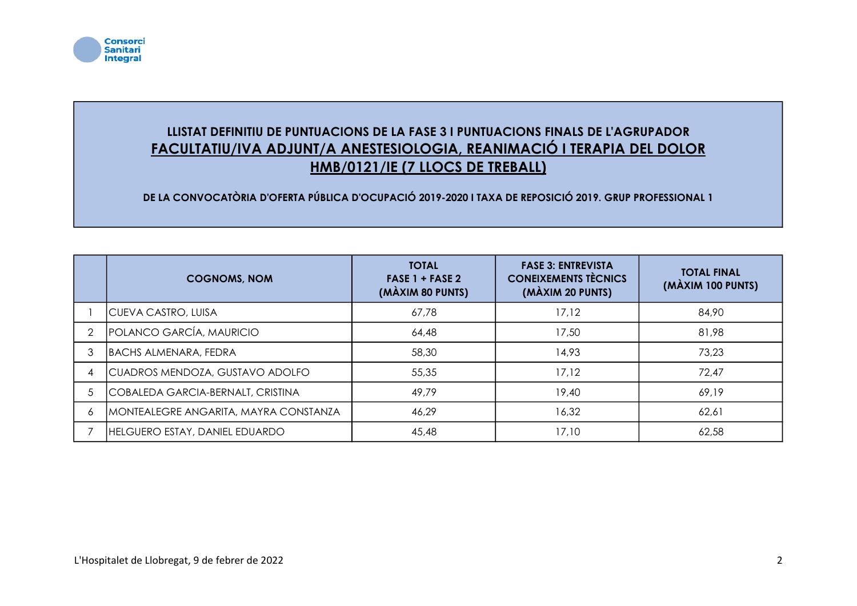

## LLISTAT DEFINITIU DE PUNTUACIONS DE LA FASE 3 I PUNTUACIONS FINALS DE L'AGRUPADOR FACULTATIU/IVA ADJUNT/A ANESTESIOLOGIA, REANIMACIÓ I TERAPIA DEL DOLOR HMB/0121/IE (7 LLOCS DE TREBALL)

|   | <b>COGNOMS, NOM</b>                   | <b>TOTAL</b><br>FASE $1 +$ FASE 2<br>(MÀXIM 80 PUNTS) | <b>FASE 3: ENTREVISTA</b><br><b>CONEIXEMENTS TÈCNICS</b><br>(MÀXIM 20 PUNTS) | <b>TOTAL FINAL</b><br>(MÀXIM 100 PUNTS) |
|---|---------------------------------------|-------------------------------------------------------|------------------------------------------------------------------------------|-----------------------------------------|
|   | <b>CUEVA CASTRO, LUISA</b>            | 67,78                                                 | 17,12                                                                        | 84,90                                   |
|   | POLANCO GARCÍA, MAURICIO              | 64,48                                                 | 17,50                                                                        | 81,98                                   |
| 3 | BACHS ALMENARA, FEDRA                 | 58,30                                                 | 14,93                                                                        | 73,23                                   |
|   | CUADROS MENDOZA, GUSTAVO ADOLFO       | 55,35                                                 | 17,12                                                                        | 72,47                                   |
| 5 | COBALEDA GARCIA-BERNALT, CRISTINA     | 49,79                                                 | 19,40                                                                        | 69,19                                   |
| 6 | MONTEALEGRE ANGARITA, MAYRA CONSTANZA | 46,29                                                 | 16,32                                                                        | 62,61                                   |
|   | <b>HELGUERO ESTAY, DANIEL EDUARDO</b> | 45,48                                                 | 17,10                                                                        | 62,58                                   |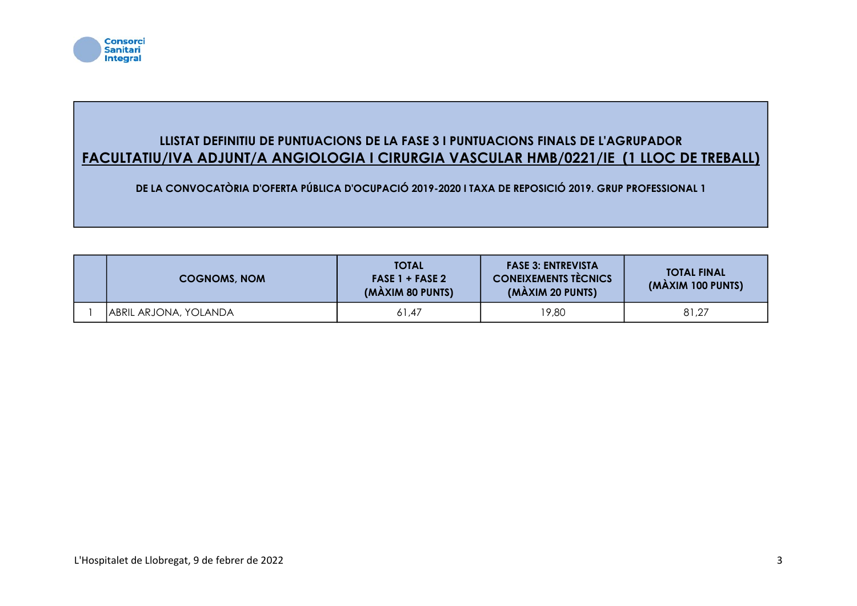

## LLISTAT DEFINITIU DE PUNTUACIONS DE LA FASE 3 I PUNTUACIONS FINALS DE L'AGRUPADOR FACULTATIU/IVA ADJUNT/A ANGIOLOGIA I CIRURGIA VASCULAR HMB/0221/IE (1 LLOC DE TREBALL)

| <b>COGNOMS, NOM</b>   | <b>TOTAL</b><br>$FASE 1 + FASE 2$<br>(MÀXIM 80 PUNTS) | <b>FASE 3: ENTREVISTA</b><br><b>CONEIXEMENTS TÈCNICS</b><br>(MÀXIM 20 PUNTS) | <b>TOTAL FINAL</b><br>(MÀXIM 100 PUNTS) |
|-----------------------|-------------------------------------------------------|------------------------------------------------------------------------------|-----------------------------------------|
| ABRIL ARJONA, YOLANDA | 61.47                                                 | 19,80                                                                        | 81,27                                   |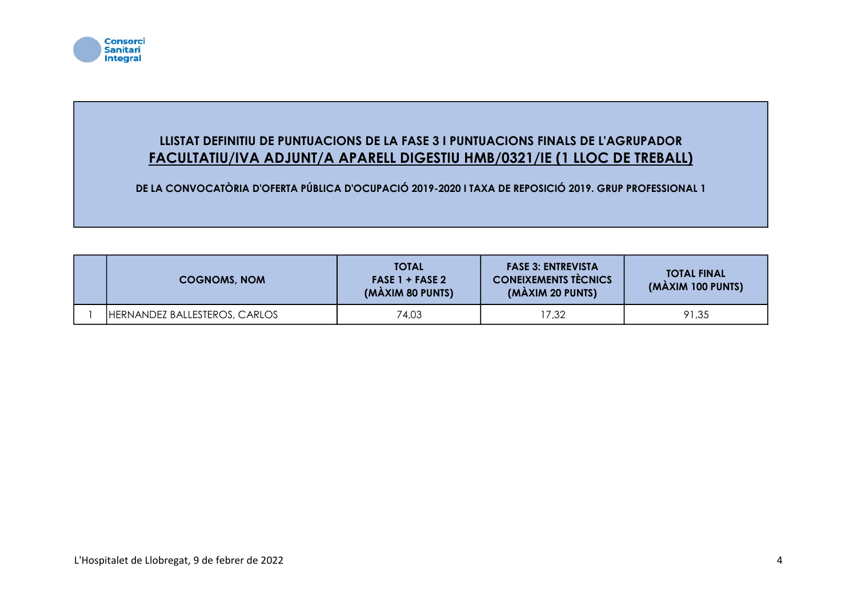

### LLISTAT DEFINITIU DE PUNTUACIONS DE LA FASE 3 I PUNTUACIONS FINALS DE L'AGRUPADOR FACULTATIU/IVA ADJUNT/A APARELL DIGESTIU HMB/0321/IE (1 LLOC DE TREBALL)

| <b>COGNOMS, NOM</b>           | <b>TOTAL</b><br>$FASE 1 + FASE 2$<br>(MÀXIM 80 PUNTS) | <b>FASE 3: ENTREVISTA</b><br><b>CONEIXEMENTS TECNICS</b><br>(MÀXIM 20 PUNTS) | <b>TOTAL FINAL</b><br>(MÀXIM 100 PUNTS) |
|-------------------------------|-------------------------------------------------------|------------------------------------------------------------------------------|-----------------------------------------|
| HERNANDEZ BALLESTEROS, CARLOS | 74.03                                                 | 17,32                                                                        | 91.35                                   |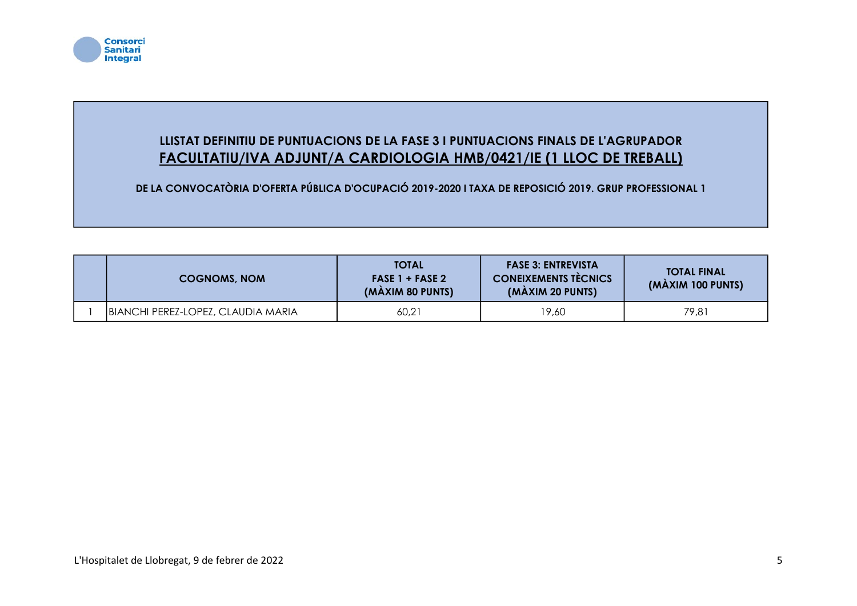

## LLISTAT DEFINITIU DE PUNTUACIONS DE LA FASE 3 I PUNTUACIONS FINALS DE L'AGRUPADOR FACULTATIU/IVA ADJUNT/A CARDIOLOGIA HMB/0421/IE (1 LLOC DE TREBALL)

| <b>COGNOMS, NOM</b>                | <b>TOTAL</b><br>$FASE 1 + FASE 2$<br>(MÀXIM 80 PUNTS) | <b>FASE 3: ENTREVISTA</b><br><b>CONEIXEMENTS TÈCNICS</b><br>(MÀXIM 20 PUNTS) | <b>TOTAL FINAL</b><br>(MAXIM 100 PUNTS) |
|------------------------------------|-------------------------------------------------------|------------------------------------------------------------------------------|-----------------------------------------|
| BIANCHI PEREZ-LOPEZ, CLAUDIA MARIA | 60,21                                                 | 19,60                                                                        | 79,81                                   |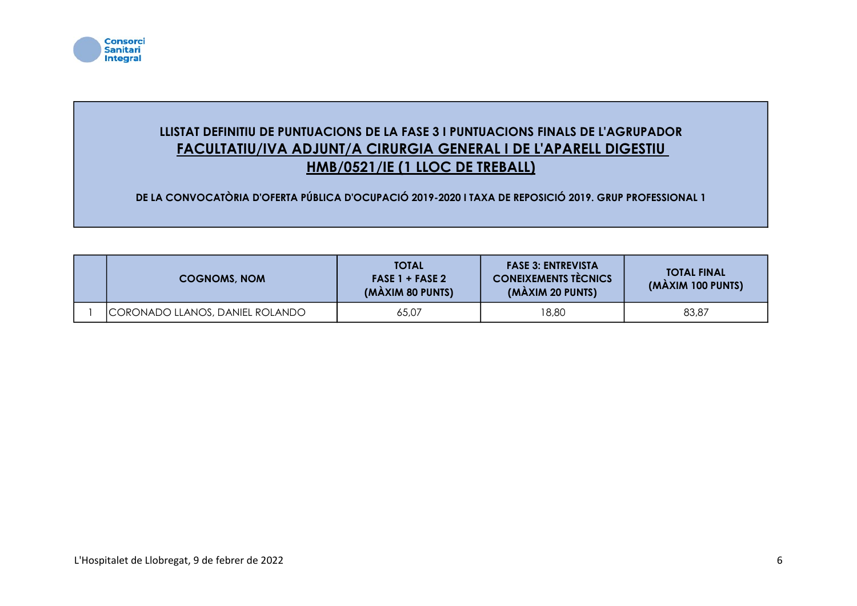

## LLISTAT DEFINITIU DE PUNTUACIONS DE LA FASE 3 I PUNTUACIONS FINALS DE L'AGRUPADOR FACULTATIU/IVA ADJUNT/A CIRURGIA GENERAL I DE L'APARELL DIGESTIU HMB/0521/IE (1 LLOC DE TREBALL)

| <b>COGNOMS, NOM</b>             | <b>TOTAL</b><br>$FASE 1 + FASE 2$<br>(MÀXIM 80 PUNTS) | <b>FASE 3: ENTREVISTA</b><br><b>CONEIXEMENTS TÈCNICS</b><br>(MÀXIM 20 PUNTS) | <b>TOTAL FINAL</b><br>(MÀXIM 100 PUNTS) |
|---------------------------------|-------------------------------------------------------|------------------------------------------------------------------------------|-----------------------------------------|
| CORONADO LLANOS, DANIEL ROLANDO | 65,07                                                 | 18,80                                                                        | 83,87                                   |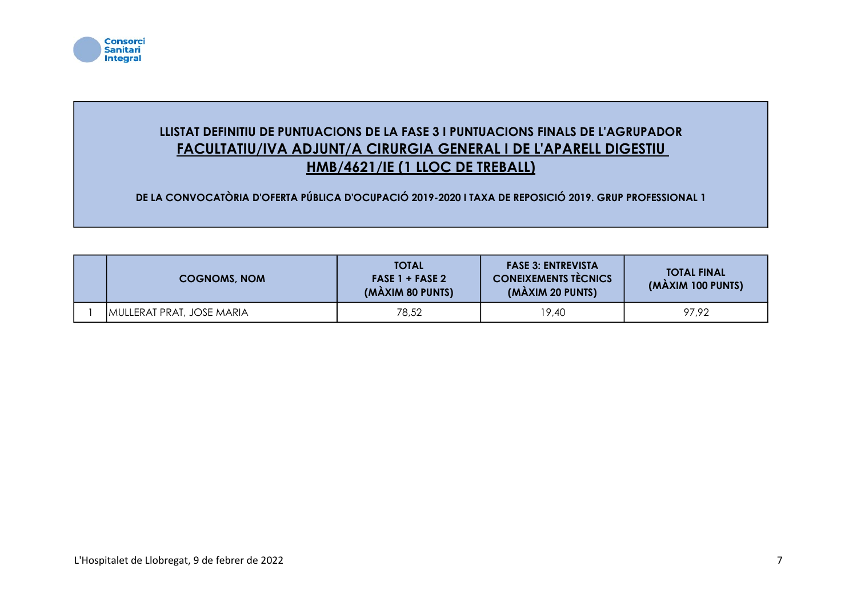

## LLISTAT DEFINITIU DE PUNTUACIONS DE LA FASE 3 I PUNTUACIONS FINALS DE L'AGRUPADOR FACULTATIU/IVA ADJUNT/A CIRURGIA GENERAL I DE L'APARELL DIGESTIU HMB/4621/IE (1 LLOC DE TREBALL)

| <b>COGNOMS, NOM</b>       | <b>TOTAL</b><br>$FASE 1 + FASE 2$<br>(MÀXIM 80 PUNTS) | <b>FASE 3: ENTREVISTA</b><br><b>CONEIXEMENTS TÈCNICS</b><br>(MÀXIM 20 PUNTS) | <b>TOTAL FINAL</b><br>(MÀXIM 100 PUNTS) |
|---------------------------|-------------------------------------------------------|------------------------------------------------------------------------------|-----------------------------------------|
| MULLERAT PRAT, JOSE MARIA | 78,52                                                 | 19,40                                                                        | 97,92                                   |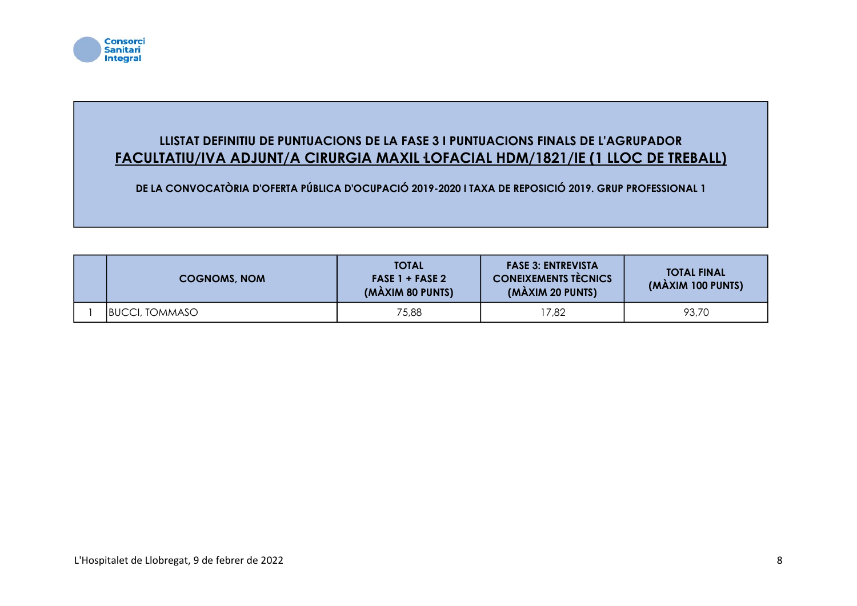

### LLISTAT DEFINITIU DE PUNTUACIONS DE LA FASE 3 I PUNTUACIONS FINALS DE L'AGRUPADOR FACULTATIU/IVA ADJUNT/A CIRURGIA MAXIL LOFACIAL HDM/1821/IE (1 LLOC DE TREBALL)

| <b>COGNOMS, NOM</b> | <b>TOTAL</b><br>$FASE 1 + FASE 2$<br>(MÀXIM 80 PUNTS) | <b>FASE 3: ENTREVISTA</b><br><b>CONEIXEMENTS TÈCNICS</b><br>(MÀXIM 20 PUNTS) | <b>TOTAL FINAL</b><br>(MAXIM 100 PUNTS) |
|---------------------|-------------------------------------------------------|------------------------------------------------------------------------------|-----------------------------------------|
| BUCCI, TOMMASO      | 75,88                                                 | 7,82                                                                         | 93,70                                   |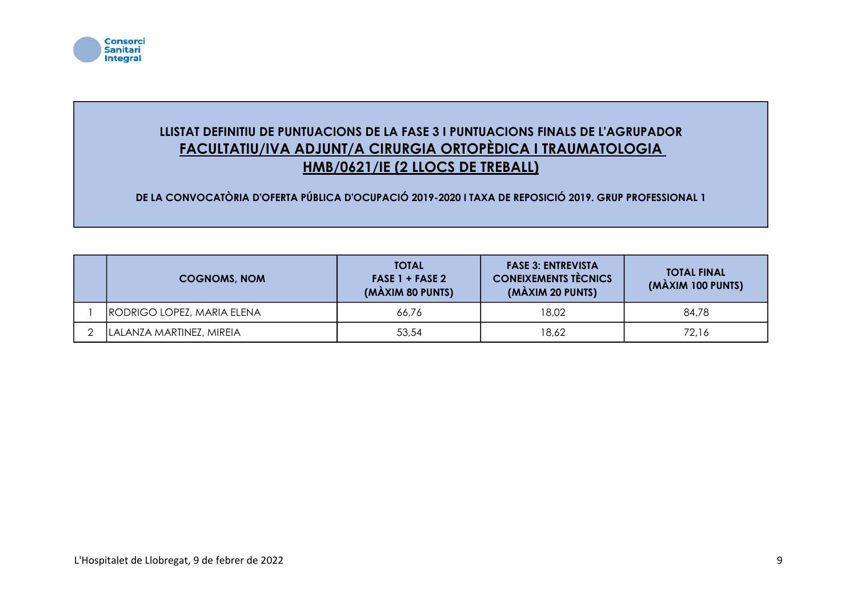

## LLISTAT DEFINITIU DE PUNTUACIONS DE LA FASE 3 I PUNTUACIONS FINALS DE L'AGRUPADOR FACULTATIU/IVA ADJUNT/A CIRURGIA ORTOPÈDICA I TRAUMATOLOGIA HMB/0621/IE (2 LLOCS DE TREBALL)

| <b>COGNOMS, NOM</b>        | <b>TOTAL</b><br>$FASE 1 + FASE 2$<br>(MÀXIM 80 PUNTS) | <b>FASE 3: ENTREVISTA</b><br><b>CONEIXEMENTS TÈCNICS</b><br>(MÀXIM 20 PUNTS) | <b>TOTAL FINAL</b><br>(MÀXIM 100 PUNTS) |
|----------------------------|-------------------------------------------------------|------------------------------------------------------------------------------|-----------------------------------------|
| RODRIGO LOPEZ, MARIA ELENA | 66.76                                                 | 18,02                                                                        | 84.78                                   |
| LALANZA MARTINEZ, MIREIA   | 53,54                                                 | 18,62                                                                        | 72,16                                   |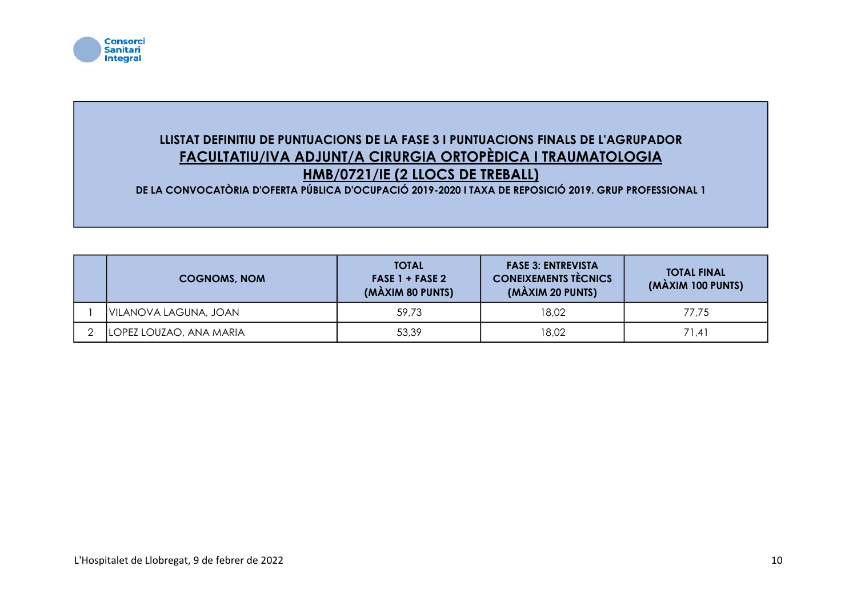

### LLISTAT DEFINITIU DE PUNTUACIONS DE LA FASE 3 I PUNTUACIONS FINALS DE L'AGRUPADOR FACULTATIU/IVA ADJUNT/A CIRURGIA ORTOPÈDICA I TRAUMATOLOGIA HMB/0721/IE (2 LLOCS DE TREBALL)

| <b>COGNOMS, NOM</b>     | <b>TOTAL</b><br>$FASE 1 + FASE 2$<br>(MÀXIM 80 PUNTS) | <b>FASE 3: ENTREVISTA</b><br><b>CONEIXEMENTS TÈCNICS</b><br>(MÀXIM 20 PUNTS) | <b>TOTAL FINAL</b><br>(MÀXIM 100 PUNTS) |
|-------------------------|-------------------------------------------------------|------------------------------------------------------------------------------|-----------------------------------------|
| VILANOVA LAGUNA, JOAN   | 59,73                                                 | 18,02                                                                        | 77.75                                   |
| LOPEZ LOUZAO, ANA MARIA | 53,39                                                 | 18,02                                                                        | 71.41                                   |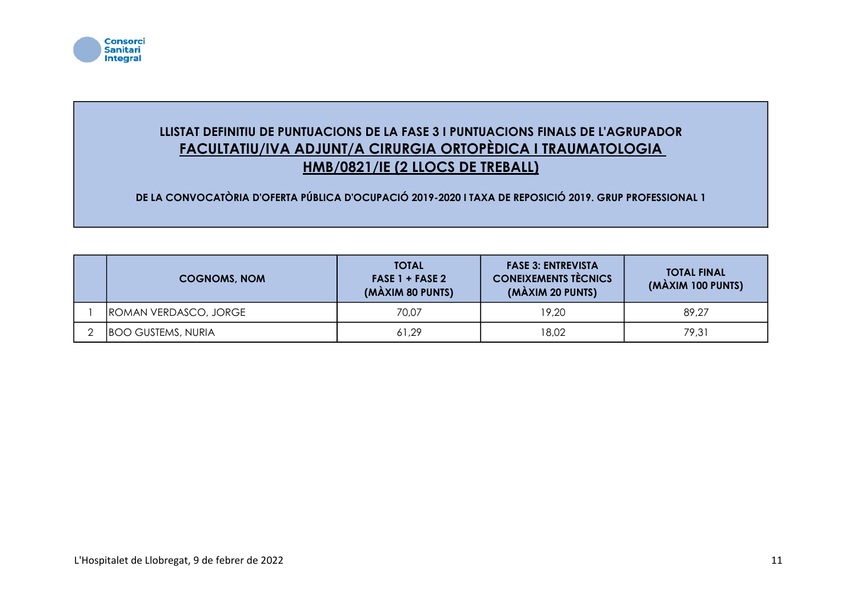

## LLISTAT DEFINITIU DE PUNTUACIONS DE LA FASE 3 I PUNTUACIONS FINALS DE L'AGRUPADOR FACULTATIU/IVA ADJUNT/A CIRURGIA ORTOPÈDICA I TRAUMATOLOGIA HMB/0821/IE (2 LLOCS DE TREBALL)

| <b>COGNOMS, NOM</b>       | <b>TOTAL</b><br>$FASE 1 + FASE 2$<br>(MÀXIM 80 PUNTS) | <b>FASE 3: ENTREVISTA</b><br><b>CONEIXEMENTS TÈCNICS</b><br>(MÀXIM 20 PUNTS) | <b>TOTAL FINAL</b><br>(MÀXIM 100 PUNTS) |
|---------------------------|-------------------------------------------------------|------------------------------------------------------------------------------|-----------------------------------------|
| ROMAN VERDASCO, JORGE     | 70,07                                                 | 19,20                                                                        | 89.27                                   |
| <b>BOO GUSTEMS, NURIA</b> | 61,29                                                 | 18,02                                                                        | 79,31                                   |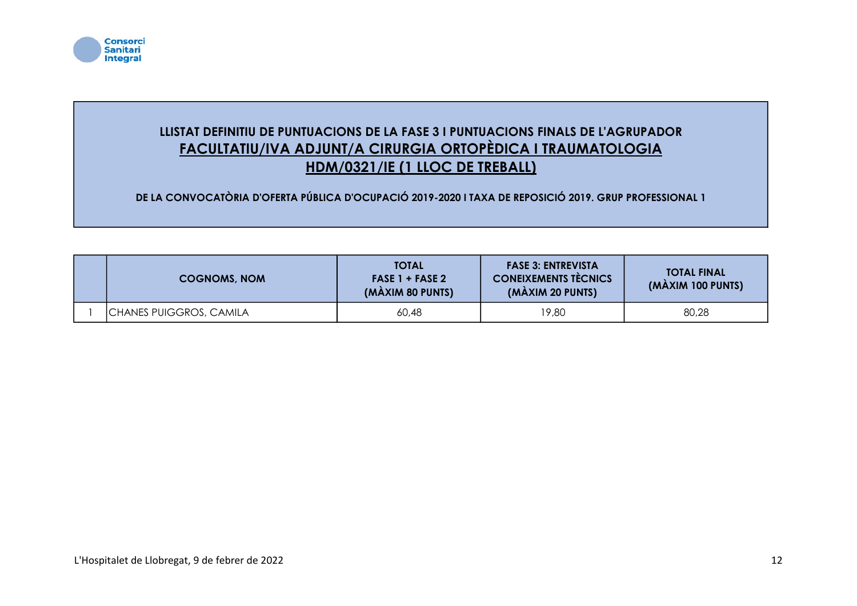

## LLISTAT DEFINITIU DE PUNTUACIONS DE LA FASE 3 I PUNTUACIONS FINALS DE L'AGRUPADOR FACULTATIU/IVA ADJUNT/A CIRURGIA ORTOPÈDICA I TRAUMATOLOGIA HDM/0321/IE (1 LLOC DE TREBALL)

| <b>COGNOMS, NOM</b>            | <b>TOTAL</b><br>$FASE 1 + FASE 2$<br>(MÀXIM 80 PUNTS) | <b>FASE 3: ENTREVISTA</b><br><b>CONEIXEMENTS TÈCNICS</b><br>(MÀXIM 20 PUNTS) | <b>TOTAL FINAL</b><br>(MÀXIM 100 PUNTS) |
|--------------------------------|-------------------------------------------------------|------------------------------------------------------------------------------|-----------------------------------------|
| <b>CHANES PUIGGROS, CAMILA</b> | 60.48                                                 | 19,80                                                                        | 80,28                                   |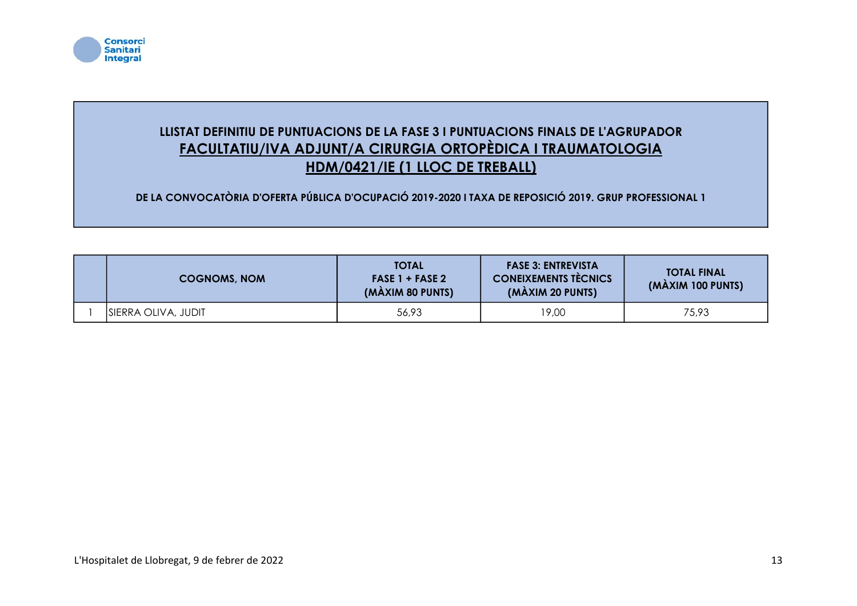

## LLISTAT DEFINITIU DE PUNTUACIONS DE LA FASE 3 I PUNTUACIONS FINALS DE L'AGRUPADOR FACULTATIU/IVA ADJUNT/A CIRURGIA ORTOPÈDICA I TRAUMATOLOGIA HDM/0421/IE (1 LLOC DE TREBALL)

| <b>COGNOMS, NOM</b> | <b>TOTAL</b><br>$FASE 1 + FASE 2$<br>(MÀXIM 80 PUNTS) | <b>FASE 3: ENTREVISTA</b><br><b>CONEIXEMENTS TÈCNICS</b><br>(MÀXIM 20 PUNTS) | <b>TOTAL FINAL</b><br>(MAXIM 100 PUNTS) |
|---------------------|-------------------------------------------------------|------------------------------------------------------------------------------|-----------------------------------------|
| SIERRA OLIVA, JUDIT | 56,93                                                 | 19,00                                                                        | 75,93                                   |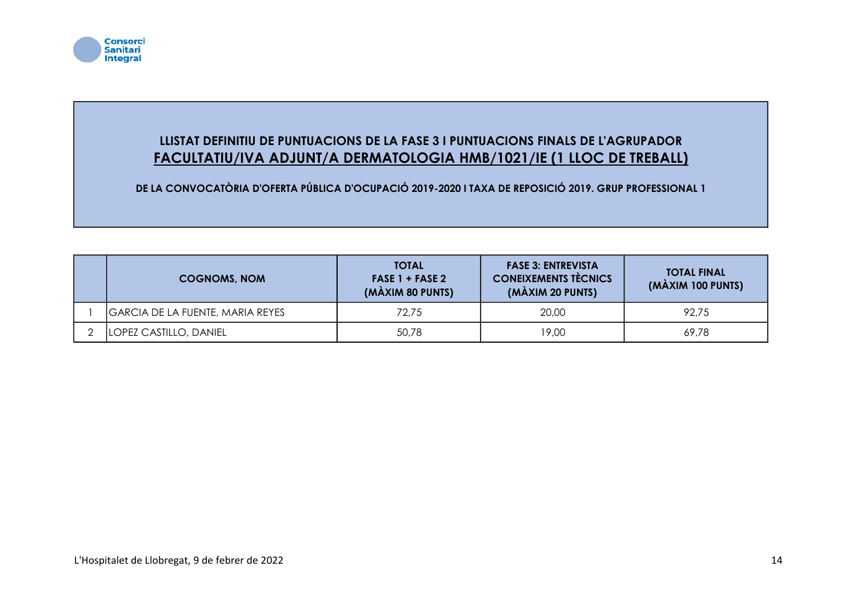

### LLISTAT DEFINITIU DE PUNTUACIONS DE LA FASE 3 I PUNTUACIONS FINALS DE L'AGRUPADOR FACULTATIU/IVA ADJUNT/A DERMATOLOGIA HMB/1021/IE (1 LLOC DE TREBALL)

| <b>COGNOMS, NOM</b>                     | <b>TOTAL</b><br>$FASE 1 + FASE 2$<br>(MÀXIM 80 PUNTS) | <b>FASE 3: ENTREVISTA</b><br><b>CONEIXEMENTS TÈCNICS</b><br>(MÀXIM 20 PUNTS) | <b>TOTAL FINAL</b><br>(MÀXIM 100 PUNTS) |
|-----------------------------------------|-------------------------------------------------------|------------------------------------------------------------------------------|-----------------------------------------|
| <b>GARCIA DE LA FUENTE, MARIA REYES</b> | 72,75                                                 | 20,00                                                                        | 92.75                                   |
| LOPEZ CASTILLO, DANIEL                  | 50,78                                                 | 19,00                                                                        | 69,78                                   |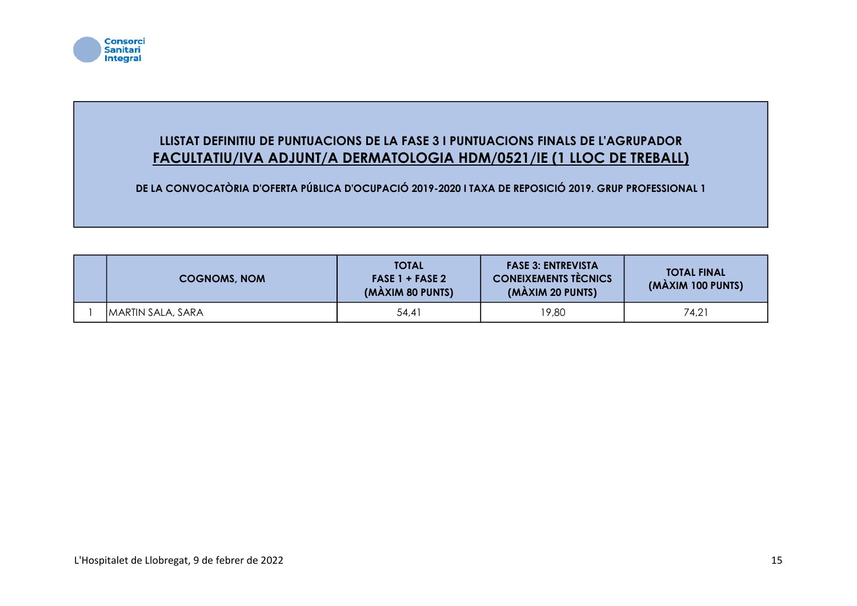

### LLISTAT DEFINITIU DE PUNTUACIONS DE LA FASE 3 I PUNTUACIONS FINALS DE L'AGRUPADOR FACULTATIU/IVA ADJUNT/A DERMATOLOGIA HDM/0521/IE (1 LLOC DE TREBALL)

| <b>COGNOMS, NOM</b>       | <b>TOTAL</b><br>$FASE 1 + FASE 2$<br>(MÀXIM 80 PUNTS) | <b>FASE 3: ENTREVISTA</b><br><b>CONEIXEMENTS TÈCNICS</b><br>(MÀXIM 20 PUNTS) | <b>TOTAL FINAL</b><br>(MÀXIM 100 PUNTS) |
|---------------------------|-------------------------------------------------------|------------------------------------------------------------------------------|-----------------------------------------|
| <b>IMARTIN SALA, SARA</b> | 54,41                                                 | 19,80                                                                        | 74,21                                   |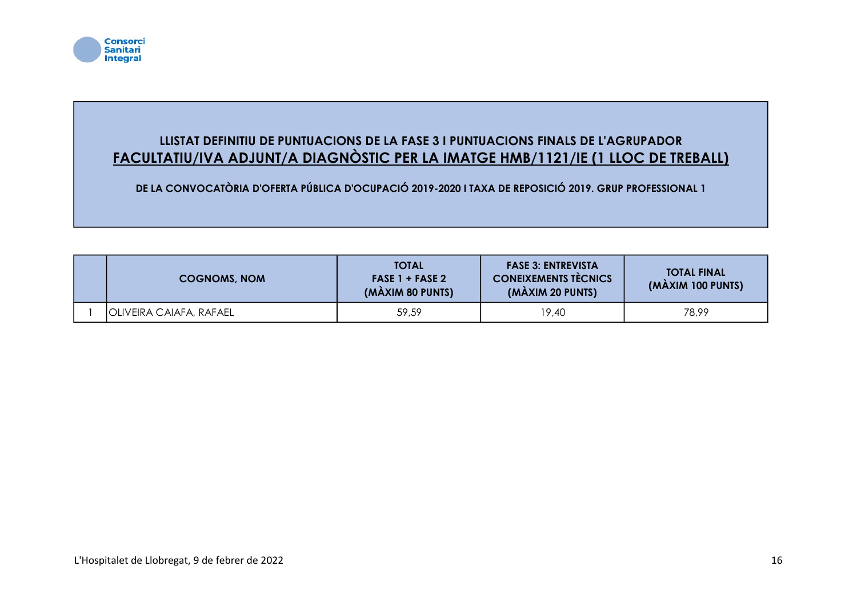

## LLISTAT DEFINITIU DE PUNTUACIONS DE LA FASE 3 I PUNTUACIONS FINALS DE L'AGRUPADOR FACULTATIU/IVA ADJUNT/A DIAGNÒSTIC PER LA IMATGE HMB/1121/IE (1 LLOC DE TREBALL)

| <b>COGNOMS, NOM</b>     | <b>TOTAL</b><br>$FASE 1 + FASE 2$<br>(MÀXIM 80 PUNTS) | <b>FASE 3: ENTREVISTA</b><br><b>CONEIXEMENTS TÈCNICS</b><br>(MÀXIM 20 PUNTS) | <b>TOTAL FINAL</b><br>(MAXIM 100 PUNTS) |
|-------------------------|-------------------------------------------------------|------------------------------------------------------------------------------|-----------------------------------------|
| OLIVEIRA CAIAFA, RAFAEL | 59,59                                                 | 19,40                                                                        | 78,99                                   |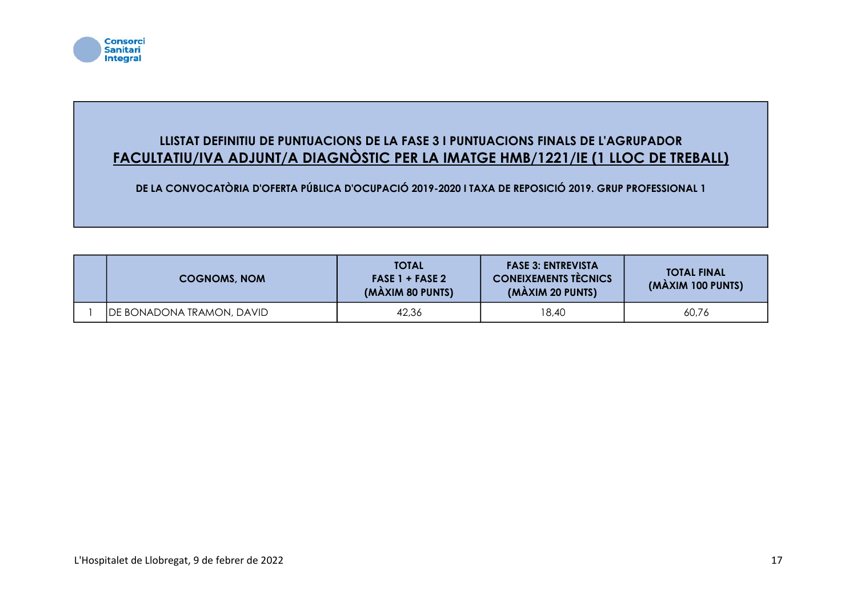

## LLISTAT DEFINITIU DE PUNTUACIONS DE LA FASE 3 I PUNTUACIONS FINALS DE L'AGRUPADOR FACULTATIU/IVA ADJUNT/A DIAGNÒSTIC PER LA IMATGE HMB/1221/IE (1 LLOC DE TREBALL)

| <b>COGNOMS, NOM</b>               | <b>TOTAL</b><br>$FASE 1 + FASE 2$<br>(MÀXIM 80 PUNTS) | <b>FASE 3: ENTREVISTA</b><br><b>CONEIXEMENTS TECNICS</b><br>(MÀXIM 20 PUNTS) | <b>TOTAL FINAL</b><br>(MAXIM 100 PUNTS) |
|-----------------------------------|-------------------------------------------------------|------------------------------------------------------------------------------|-----------------------------------------|
| <b>IDE BONADONA TRAMON, DAVID</b> | 42.36                                                 | 18,40                                                                        | 60,76                                   |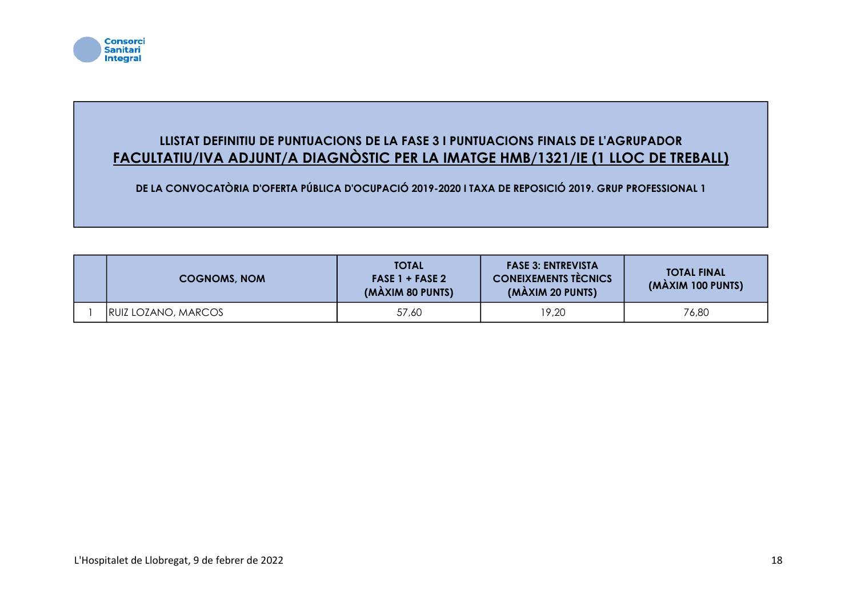

# LLISTAT DEFINITIU DE PUNTUACIONS DE LA FASE 3 I PUNTUACIONS FINALS DE L'AGRUPADOR FACULTATIU/IVA ADJUNT/A DIAGNÒSTIC PER LA IMATGE HMB/1321/IE (1 LLOC DE TREBALL)

| <b>COGNOMS, NOM</b> | <b>TOTAL</b><br>$FASE 1 + FASE 2$<br>(MÀXIM 80 PUNTS) | <b>FASE 3: ENTREVISTA</b><br><b>CONEIXEMENTS TÈCNICS</b><br>(MÀXIM 20 PUNTS) | <b>TOTAL FINAL</b><br>(MAXIM 100 PUNTS) |
|---------------------|-------------------------------------------------------|------------------------------------------------------------------------------|-----------------------------------------|
| RUIZ LOZANO, MARCOS | 57,60                                                 | 19,20                                                                        | 76,80                                   |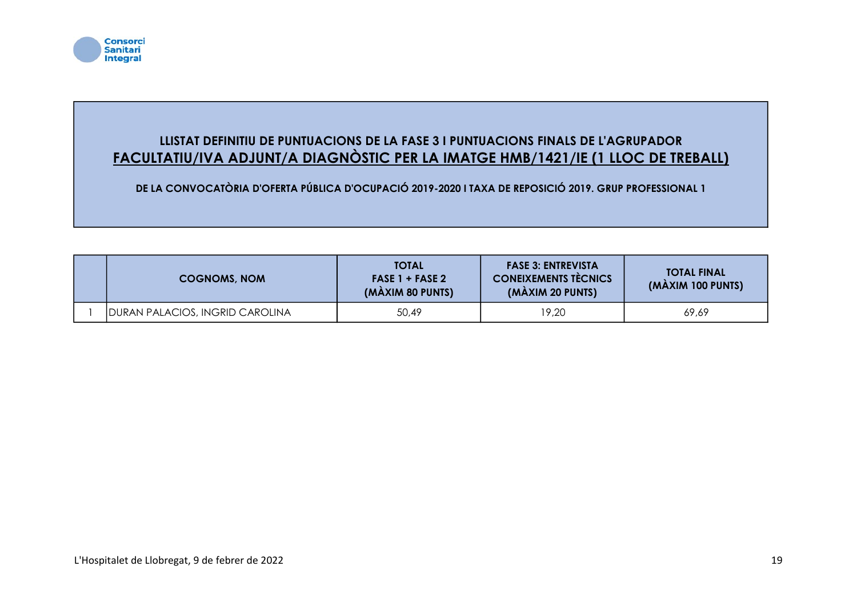

# LLISTAT DEFINITIU DE PUNTUACIONS DE LA FASE 3 I PUNTUACIONS FINALS DE L'AGRUPADOR FACULTATIU/IVA ADJUNT/A DIAGNÒSTIC PER LA IMATGE HMB/1421/IE (1 LLOC DE TREBALL)

| <b>COGNOMS, NOM</b>                    | <b>TOTAL</b><br>$FASE 1 + FASE 2$<br>(MÀXIM 80 PUNTS) | <b>FASE 3: ENTREVISTA</b><br><b>CONEIXEMENTS TECNICS</b><br>(MÀXIM 20 PUNTS) | <b>TOTAL FINAL</b><br>(MAXIM 100 PUNTS) |
|----------------------------------------|-------------------------------------------------------|------------------------------------------------------------------------------|-----------------------------------------|
| <b>DURAN PALACIOS, INGRID CAROLINA</b> | 50,49                                                 | 19,20                                                                        | 69,69                                   |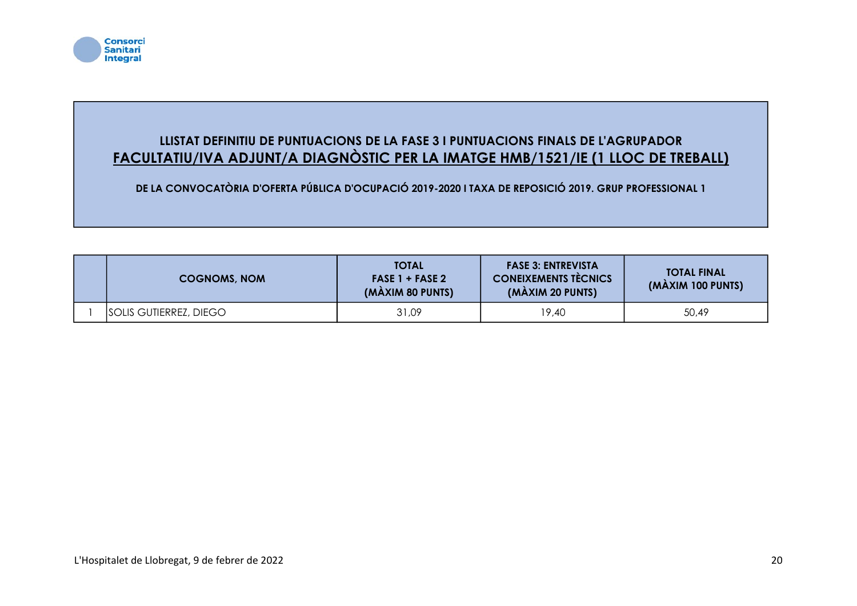

## LLISTAT DEFINITIU DE PUNTUACIONS DE LA FASE 3 I PUNTUACIONS FINALS DE L'AGRUPADOR FACULTATIU/IVA ADJUNT/A DIAGNÒSTIC PER LA IMATGE HMB/1521/IE (1 LLOC DE TREBALL)

| <b>COGNOMS, NOM</b>           | <b>TOTAL</b><br>$FASE 1 + FASE 2$<br>(MÀXIM 80 PUNTS) | <b>FASE 3: ENTREVISTA</b><br><b>CONEIXEMENTS TÈCNICS</b><br>(MÀXIM 20 PUNTS) | <b>TOTAL FINAL</b><br>(MAXIM 100 PUNTS) |
|-------------------------------|-------------------------------------------------------|------------------------------------------------------------------------------|-----------------------------------------|
| <b>SOLIS GUTIERREZ, DIEGO</b> | 31,09                                                 | 19,40                                                                        | 50,49                                   |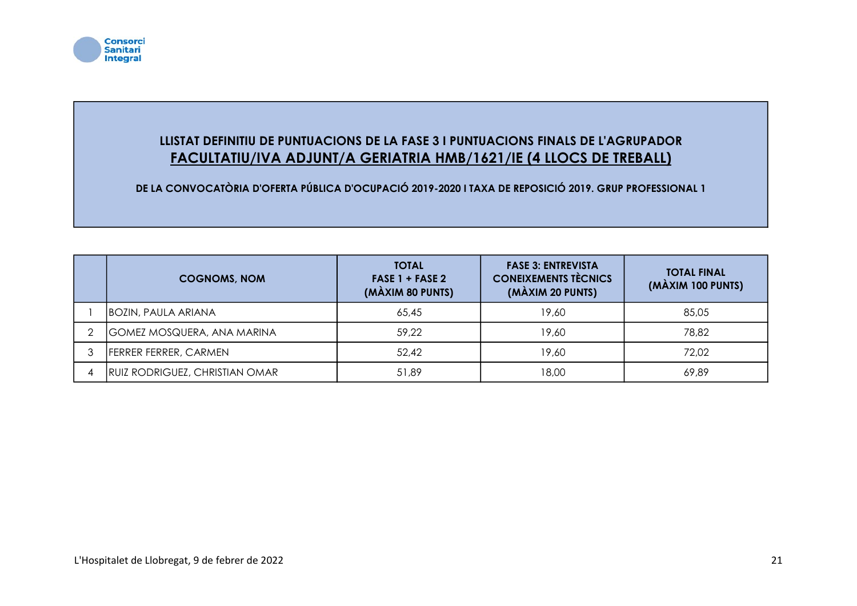

### LLISTAT DEFINITIU DE PUNTUACIONS DE LA FASE 3 I PUNTUACIONS FINALS DE L'AGRUPADOR FACULTATIU/IVA ADJUNT/A GERIATRIA HMB/1621/IE (4 LLOCS DE TREBALL)

| <b>COGNOMS, NOM</b>               | <b>TOTAL</b><br>$FASE 1 + FASE 2$<br>(MÀXIM 80 PUNTS) | <b>FASE 3: ENTREVISTA</b><br><b>CONEIXEMENTS TÈCNICS</b><br>(MÀXIM 20 PUNTS) | <b>TOTAL FINAL</b><br>(MÀXIM 100 PUNTS) |
|-----------------------------------|-------------------------------------------------------|------------------------------------------------------------------------------|-----------------------------------------|
| BOZIN, PAULA ARIANA               | 65,45                                                 | 19,60                                                                        | 85,05                                   |
| <b>GOMEZ MOSQUERA, ANA MARINA</b> | 59,22                                                 | 19,60                                                                        | 78,82                                   |
| <b>FERRER FERRER, CARMEN</b>      | 52,42                                                 | 19,60                                                                        | 72,02                                   |
| RUIZ RODRIGUEZ, CHRISTIAN OMAR    | 51,89                                                 | 18,00                                                                        | 69,89                                   |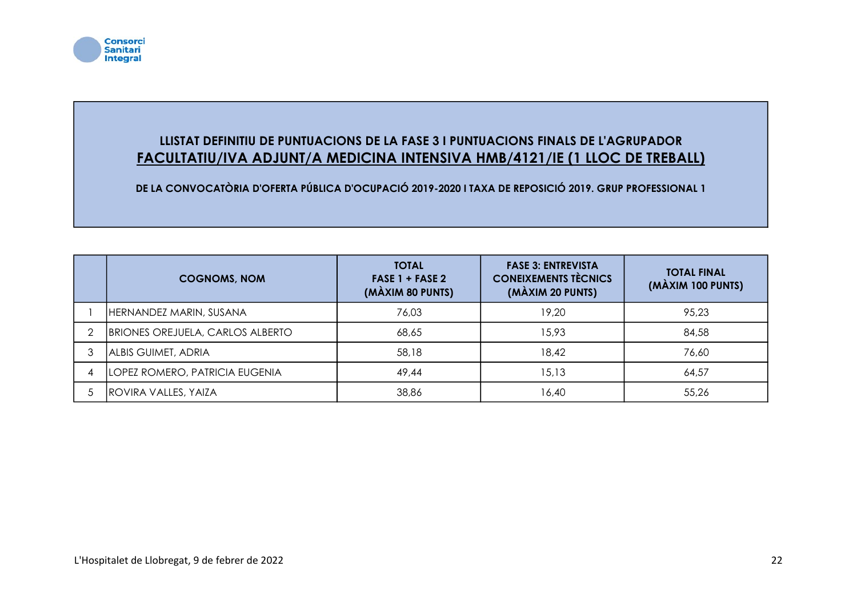

#### LLISTAT DEFINITIU DE PUNTUACIONS DE LA FASE 3 I PUNTUACIONS FINALS DE L'AGRUPADOR FACULTATIU/IVA ADJUNT/A MEDICINA INTENSIVA HMB/4121/IE (1 LLOC DE TREBALL)

| <b>COGNOMS, NOM</b>                     | <b>TOTAL</b><br>FASE $1 +$ FASE 2<br>(MÀXIM 80 PUNTS) | <b>FASE 3: ENTREVISTA</b><br><b>CONEIXEMENTS TÈCNICS</b><br>(MÀXIM 20 PUNTS) | <b>TOTAL FINAL</b><br>(MÀXIM 100 PUNTS) |
|-----------------------------------------|-------------------------------------------------------|------------------------------------------------------------------------------|-----------------------------------------|
| HERNANDEZ MARIN, SUSANA                 | 76,03                                                 | 19,20                                                                        | 95,23                                   |
| <b>BRIONES OREJUELA, CARLOS ALBERTO</b> | 68,65                                                 | 15,93                                                                        | 84,58                                   |
| ALBIS GUIMET, ADRIA                     | 58,18                                                 | 18,42                                                                        | 76,60                                   |
| <b>LOPEZ ROMERO, PATRICIA EUGENIA</b>   | 49,44                                                 | 15,13                                                                        | 64,57                                   |
| IROVIRA VALLES, YAIZA                   | 38,86                                                 | 16,40                                                                        | 55,26                                   |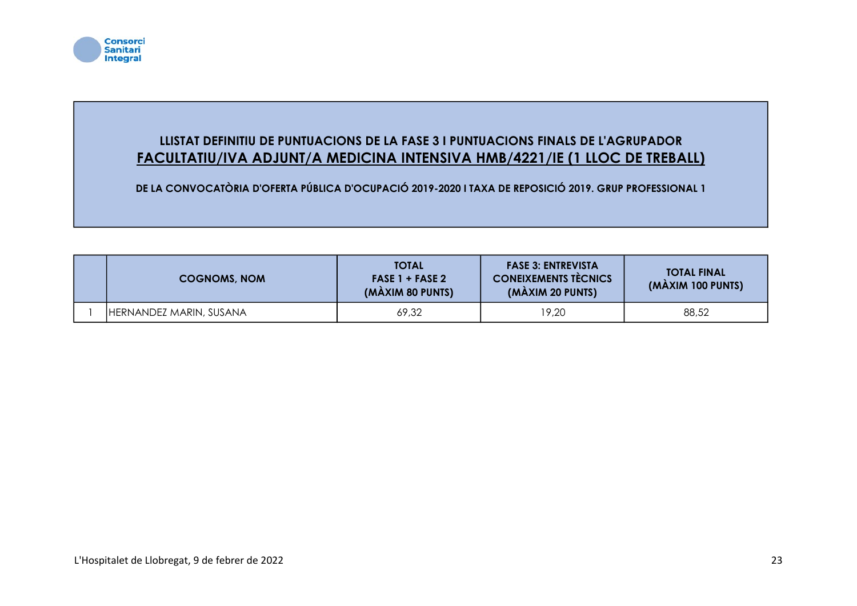

#### LLISTAT DEFINITIU DE PUNTUACIONS DE LA FASE 3 I PUNTUACIONS FINALS DE L'AGRUPADOR FACULTATIU/IVA ADJUNT/A MEDICINA INTENSIVA HMB/4221/IE (1 LLOC DE TREBALL)

| <b>COGNOMS, NOM</b>     | <b>TOTAL</b><br>$FASE 1 + FASE 2$<br>(MÀXIM 80 PUNTS) | <b>FASE 3: ENTREVISTA</b><br><b>CONEIXEMENTS TECNICS</b><br>(MÀXIM 20 PUNTS) | <b>TOTAL FINAL</b><br>(MAXIM 100 PUNTS) |
|-------------------------|-------------------------------------------------------|------------------------------------------------------------------------------|-----------------------------------------|
| HERNANDEZ MARIN, SUSANA | 69,32                                                 | 19,20                                                                        | 88,52                                   |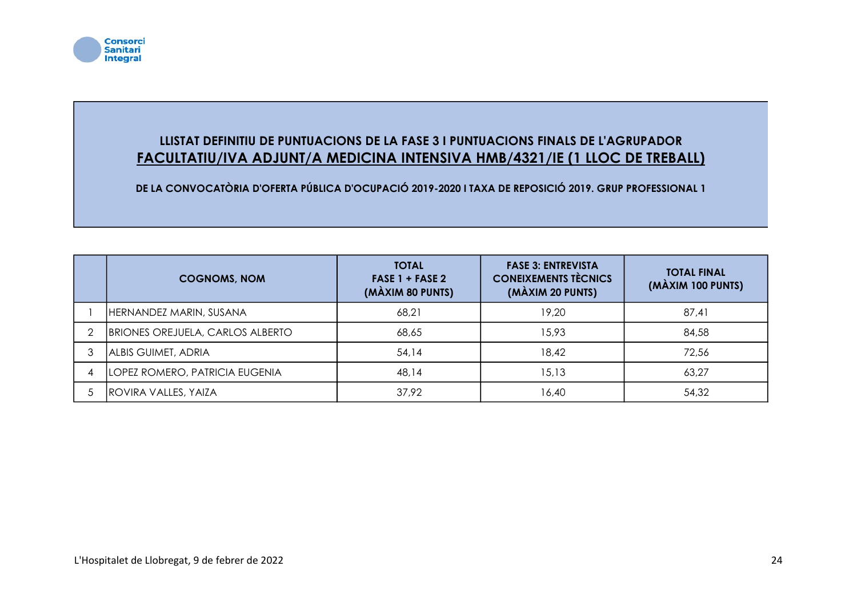

#### LLISTAT DEFINITIU DE PUNTUACIONS DE LA FASE 3 I PUNTUACIONS FINALS DE L'AGRUPADOR FACULTATIU/IVA ADJUNT/A MEDICINA INTENSIVA HMB/4321/IE (1 LLOC DE TREBALL)

| <b>COGNOMS, NOM</b>              | <b>TOTAL</b><br>FASE $1 +$ FASE 2<br>(MÀXIM 80 PUNTS) | <b>FASE 3: ENTREVISTA</b><br><b>CONEIXEMENTS TÈCNICS</b><br>(MÀXIM 20 PUNTS) | <b>TOTAL FINAL</b><br>(MÀXIM 100 PUNTS) |
|----------------------------------|-------------------------------------------------------|------------------------------------------------------------------------------|-----------------------------------------|
| HERNANDEZ MARIN, SUSANA          | 68,21                                                 | 19,20                                                                        | 87,41                                   |
| BRIONES OREJUELA, CARLOS ALBERTO | 68,65                                                 | 15,93                                                                        | 84,58                                   |
| ALBIS GUIMET, ADRIA              | 54,14                                                 | 18,42                                                                        | 72,56                                   |
| LOPEZ ROMERO, PATRICIA EUGENIA   | 48,14                                                 | 15,13                                                                        | 63,27                                   |
| ROVIRA VALLES, YAIZA             | 37,92                                                 | 16,40                                                                        | 54,32                                   |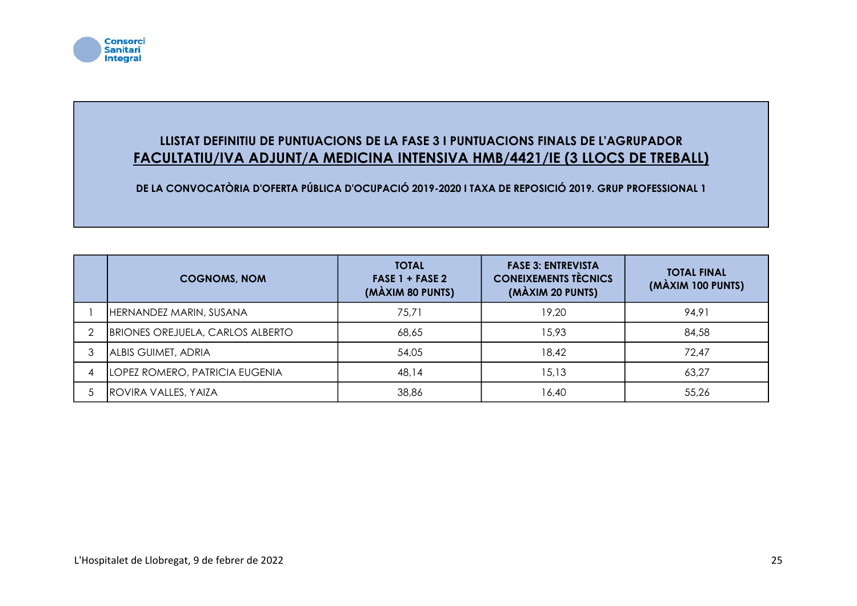

#### LLISTAT DEFINITIU DE PUNTUACIONS DE LA FASE 3 I PUNTUACIONS FINALS DE L'AGRUPADOR FACULTATIU/IVA ADJUNT/A MEDICINA INTENSIVA HMB/4421/IE (3 LLOCS DE TREBALL)

| <b>COGNOMS, NOM</b>                     | <b>TOTAL</b><br>FASE $1 +$ FASE 2<br>(MÀXIM 80 PUNTS) | <b>FASE 3: ENTREVISTA</b><br><b>CONEIXEMENTS TÈCNICS</b><br>(MÀXIM 20 PUNTS) | <b>TOTAL FINAL</b><br>(MÀXIM 100 PUNTS) |
|-----------------------------------------|-------------------------------------------------------|------------------------------------------------------------------------------|-----------------------------------------|
| HERNANDEZ MARIN, SUSANA                 | 75,71                                                 | 19,20                                                                        | 94.91                                   |
| <b>BRIONES OREJUELA, CARLOS ALBERTO</b> | 68,65                                                 | 15,93                                                                        | 84,58                                   |
| <b>ALBIS GUIMET, ADRIA</b>              | 54,05                                                 | 18,42                                                                        | 72.47                                   |
| LOPEZ ROMERO, PATRICIA EUGENIA          | 48,14                                                 | 15,13                                                                        | 63,27                                   |
| <b>ROVIRA VALLES, YAIZA</b>             | 38,86                                                 | 16,40                                                                        | 55,26                                   |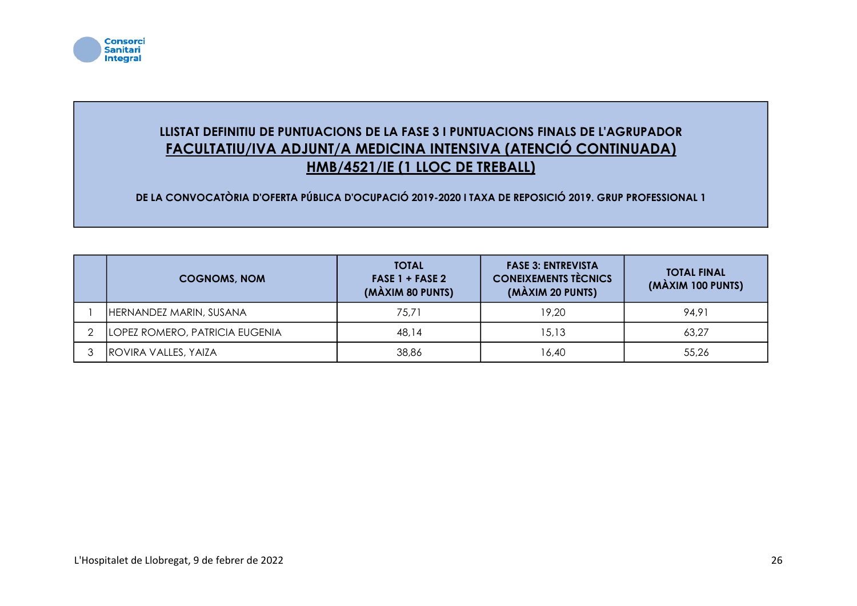

## LLISTAT DEFINITIU DE PUNTUACIONS DE LA FASE 3 I PUNTUACIONS FINALS DE L'AGRUPADOR FACULTATIU/IVA ADJUNT/A MEDICINA INTENSIVA (ATENCIÓ CONTINUADA) HMB/4521/IE (1 LLOC DE TREBALL)

| <b>COGNOMS, NOM</b>            | <b>TOTAL</b><br>$FASE 1 + FASE 2$<br>(MÀXIM 80 PUNTS) | <b>FASE 3: ENTREVISTA</b><br><b>CONEIXEMENTS TÈCNICS</b><br>(MÀXIM 20 PUNTS) | <b>TOTAL FINAL</b><br>(MÀXIM 100 PUNTS) |
|--------------------------------|-------------------------------------------------------|------------------------------------------------------------------------------|-----------------------------------------|
| HERNANDEZ MARIN, SUSANA        | 75.71                                                 | 19,20                                                                        | 94.91                                   |
| LOPEZ ROMERO, PATRICIA EUGENIA | 48,14                                                 | 15,13                                                                        | 63,27                                   |
| <b>ROVIRA VALLES, YAIZA</b>    | 38,86                                                 | 16,40                                                                        | 55,26                                   |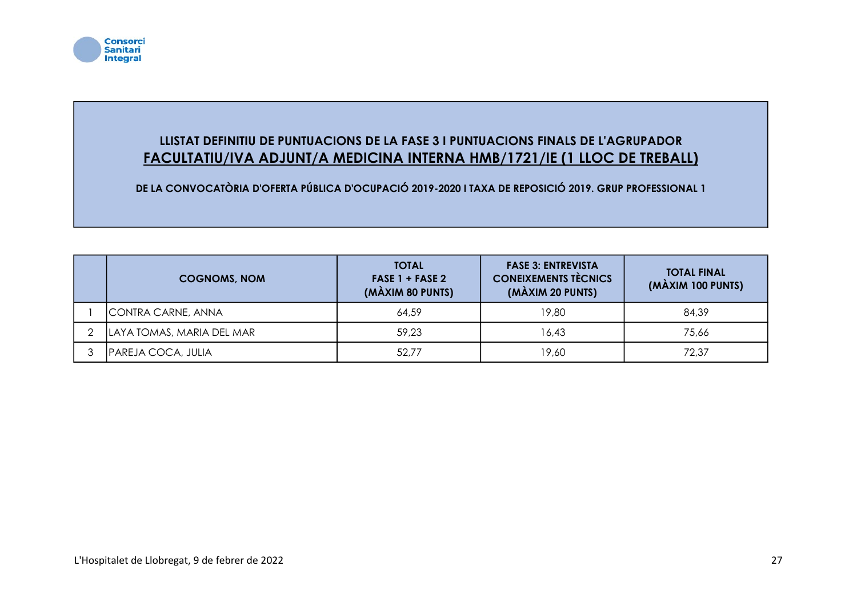

#### LLISTAT DEFINITIU DE PUNTUACIONS DE LA FASE 3 I PUNTUACIONS FINALS DE L'AGRUPADOR FACULTATIU/IVA ADJUNT/A MEDICINA INTERNA HMB/1721/IE (1 LLOC DE TREBALL)

| <b>COGNOMS, NOM</b>       | <b>TOTAL</b><br>FASE 1 + FASE 2<br>(MÀXIM 80 PUNTS) | <b>FASE 3: ENTREVISTA</b><br><b>CONEIXEMENTS TÈCNICS</b><br>(MÀXIM 20 PUNTS) | <b>TOTAL FINAL</b><br>(MÀXIM 100 PUNTS) |
|---------------------------|-----------------------------------------------------|------------------------------------------------------------------------------|-----------------------------------------|
| CONTRA CARNE, ANNA        | 64,59                                               | 19,80                                                                        | 84,39                                   |
| LAYA TOMAS, MARIA DEL MAR | 59.23                                               | 16,43                                                                        | 75,66                                   |
| PAREJA COCA, JULIA        | 52,77                                               | 19,60                                                                        | 72,37                                   |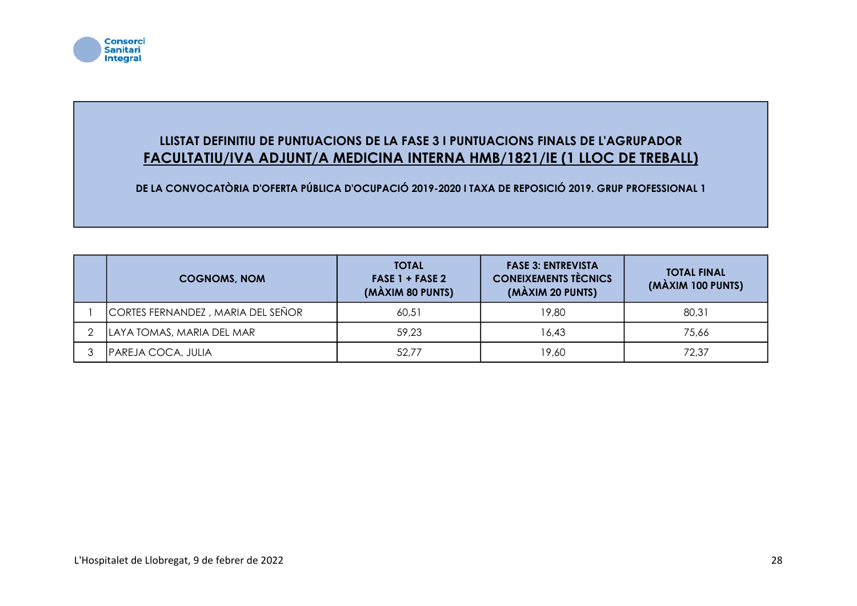

#### LLISTAT DEFINITIU DE PUNTUACIONS DE LA FASE 3 I PUNTUACIONS FINALS DE L'AGRUPADOR FACULTATIU/IVA ADJUNT/A MEDICINA INTERNA HMB/1821/IE (1 LLOC DE TREBALL)

| <b>COGNOMS, NOM</b>               | <b>TOTAL</b><br>$FASE 1 + FASE 2$<br>(MÀXIM 80 PUNTS) | <b>FASE 3: ENTREVISTA</b><br><b>CONEIXEMENTS TÈCNICS</b><br>(MÀXIM 20 PUNTS) | <b>TOTAL FINAL</b><br>(MÀXIM 100 PUNTS) |
|-----------------------------------|-------------------------------------------------------|------------------------------------------------------------------------------|-----------------------------------------|
| CORTES FERNANDEZ, MARIA DEL SEÑOR | 60,51                                                 | 19,80                                                                        | 80,31                                   |
| LAYA TOMAS, MARIA DEL MAR         | 59.23                                                 | 16,43                                                                        | 75,66                                   |
| PAREJA COCA, JULIA                | 52,77                                                 | 19,60                                                                        | 72,37                                   |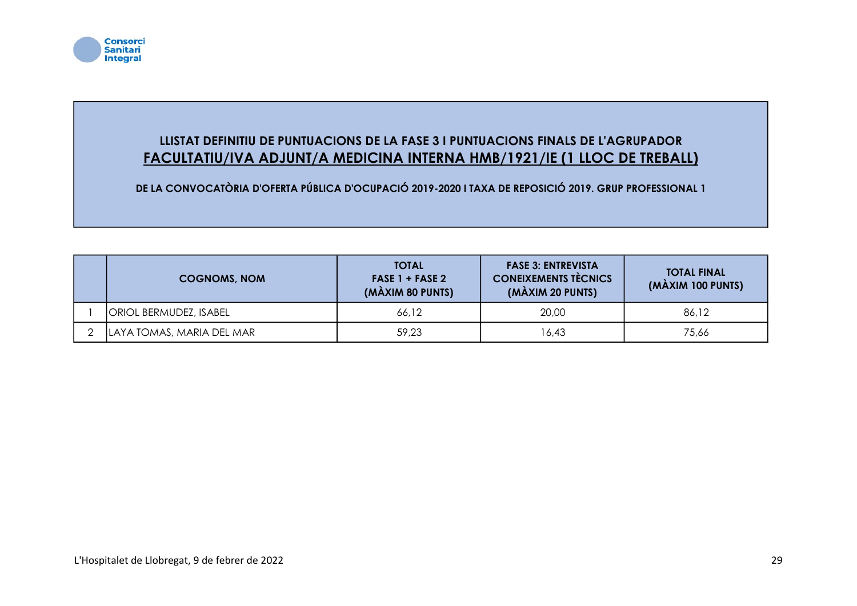

#### LLISTAT DEFINITIU DE PUNTUACIONS DE LA FASE 3 I PUNTUACIONS FINALS DE L'AGRUPADOR FACULTATIU/IVA ADJUNT/A MEDICINA INTERNA HMB/1921/IE (1 LLOC DE TREBALL)

| <b>COGNOMS, NOM</b>       | <b>TOTAL</b><br>$FASE 1 + FASE 2$<br>(MÀXIM 80 PUNTS) | <b>FASE 3: ENTREVISTA</b><br><b>CONEIXEMENTS TÈCNICS</b><br>(MÀXIM 20 PUNTS) | <b>TOTAL FINAL</b><br>(MÀXIM 100 PUNTS) |
|---------------------------|-------------------------------------------------------|------------------------------------------------------------------------------|-----------------------------------------|
| ORIOL BERMUDEZ, ISABEL    | 66,12                                                 | 20,00                                                                        | 86.12                                   |
| LAYA TOMAS, MARIA DEL MAR | 59,23                                                 | 16.43                                                                        | 75,66                                   |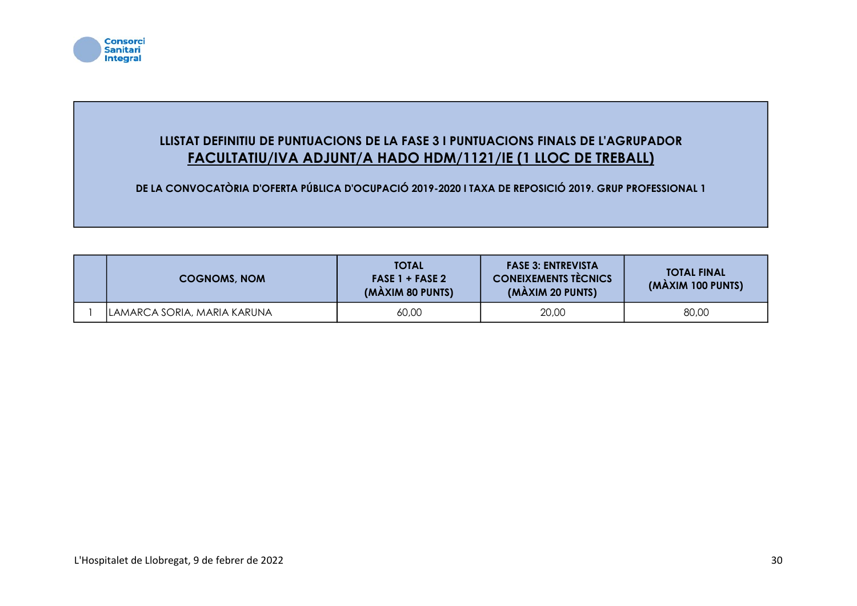

## LLISTAT DEFINITIU DE PUNTUACIONS DE LA FASE 3 I PUNTUACIONS FINALS DE L'AGRUPADOR FACULTATIU/IVA ADJUNT/A HADO HDM/1121/IE (1 LLOC DE TREBALL)

| <b>COGNOMS, NOM</b>         | <b>TOTAL</b><br>$FASE 1 + FASE 2$<br>(MÀXIM 80 PUNTS) | <b>FASE 3: ENTREVISTA</b><br><b>CONEIXEMENTS TÈCNICS</b><br>(MÀXIM 20 PUNTS) | <b>TOTAL FINAL</b><br>(MAXIM 100 PUNTS) |
|-----------------------------|-------------------------------------------------------|------------------------------------------------------------------------------|-----------------------------------------|
| LAMARCA SORIA, MARIA KARUNA | 60,00                                                 | 20,00                                                                        | 80,00                                   |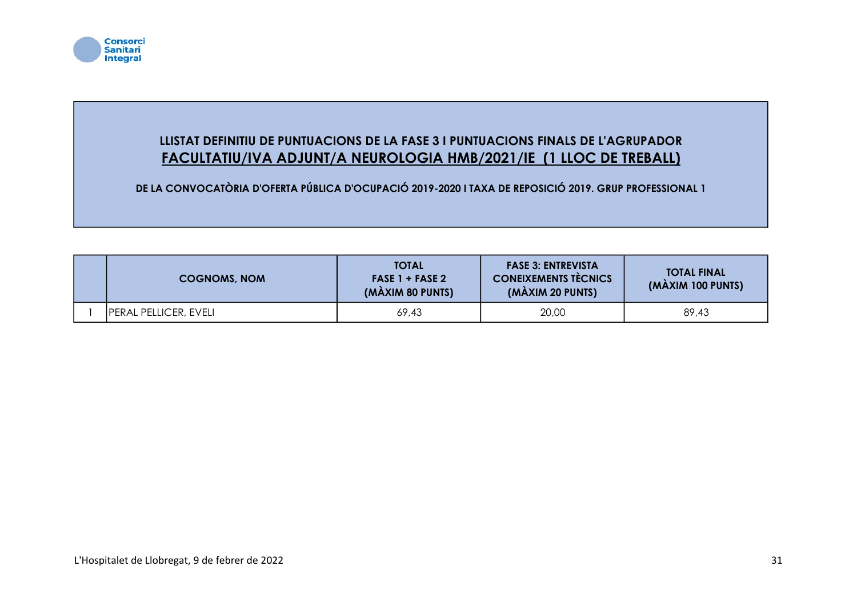

## LLISTAT DEFINITIU DE PUNTUACIONS DE LA FASE 3 I PUNTUACIONS FINALS DE L'AGRUPADOR FACULTATIU/IVA ADJUNT/A NEUROLOGIA HMB/2021/IE (1 LLOC DE TREBALL)

| <b>COGNOMS, NOM</b>          | <b>TOTAL</b><br>$FASE 1 + FASE 2$<br>(MÀXIM 80 PUNTS) | <b>FASE 3: ENTREVISTA</b><br><b>CONEIXEMENTS TECNICS</b><br>(MÀXIM 20 PUNTS) | <b>TOTAL FINAL</b><br>(MÀXIM 100 PUNTS) |
|------------------------------|-------------------------------------------------------|------------------------------------------------------------------------------|-----------------------------------------|
| <b>PERAL PELLICER, EVELI</b> | 69,43                                                 | 20,00                                                                        | 89,43                                   |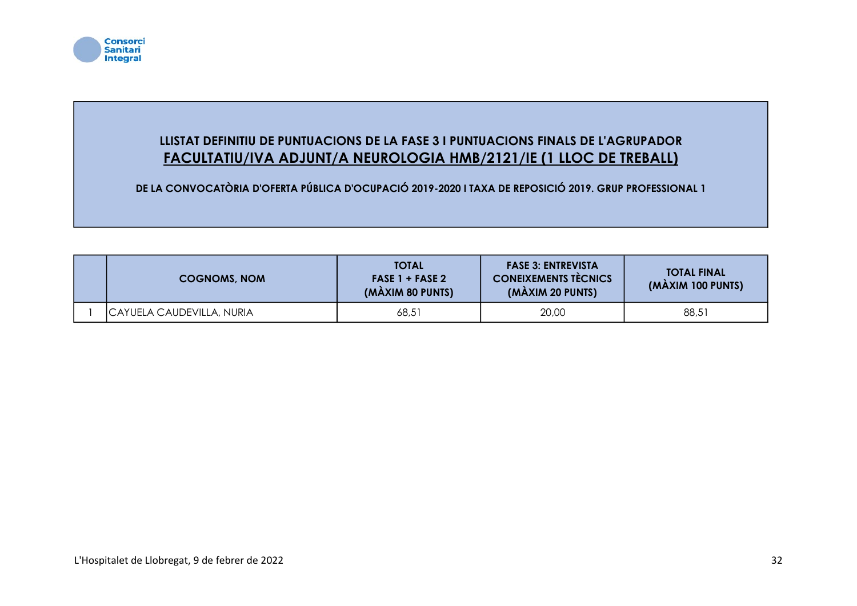

## LLISTAT DEFINITIU DE PUNTUACIONS DE LA FASE 3 I PUNTUACIONS FINALS DE L'AGRUPADOR FACULTATIU/IVA ADJUNT/A NEUROLOGIA HMB/2121/IE (1 LLOC DE TREBALL)

| <b>COGNOMS, NOM</b>       | <b>TOTAL</b><br>$FASE 1 + FASE 2$<br>(MÀXIM 80 PUNTS) | <b>FASE 3: ENTREVISTA</b><br><b>CONEIXEMENTS TÈCNICS</b><br>(MÀXIM 20 PUNTS) | <b>TOTAL FINAL</b><br>(MAXIM 100 PUNTS) |
|---------------------------|-------------------------------------------------------|------------------------------------------------------------------------------|-----------------------------------------|
| CAYUELA CAUDEVILLA, NURIA | 68,51                                                 | 20,00                                                                        | 88,51                                   |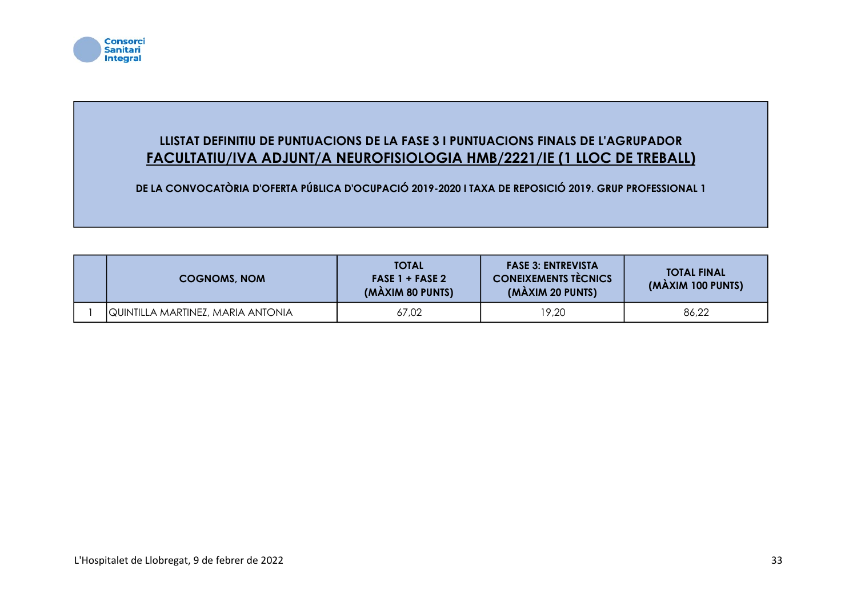

### LLISTAT DEFINITIU DE PUNTUACIONS DE LA FASE 3 I PUNTUACIONS FINALS DE L'AGRUPADOR FACULTATIU/IVA ADJUNT/A NEUROFISIOLOGIA HMB/2221/IE (1 LLOC DE TREBALL)

| <b>COGNOMS, NOM</b>                      | <b>TOTAL</b><br>$FASE 1 + FASE 2$<br>(MÀXIM 80 PUNTS) | <b>FASE 3: ENTREVISTA</b><br><b>CONEIXEMENTS TECNICS</b><br>(MÀXIM 20 PUNTS) | <b>TOTAL FINAL</b><br>(MAXIM 100 PUNTS) |
|------------------------------------------|-------------------------------------------------------|------------------------------------------------------------------------------|-----------------------------------------|
| <b>QUINTILLA MARTINEZ, MARIA ANTONIA</b> | 67,02                                                 | 19,20                                                                        | 86,22                                   |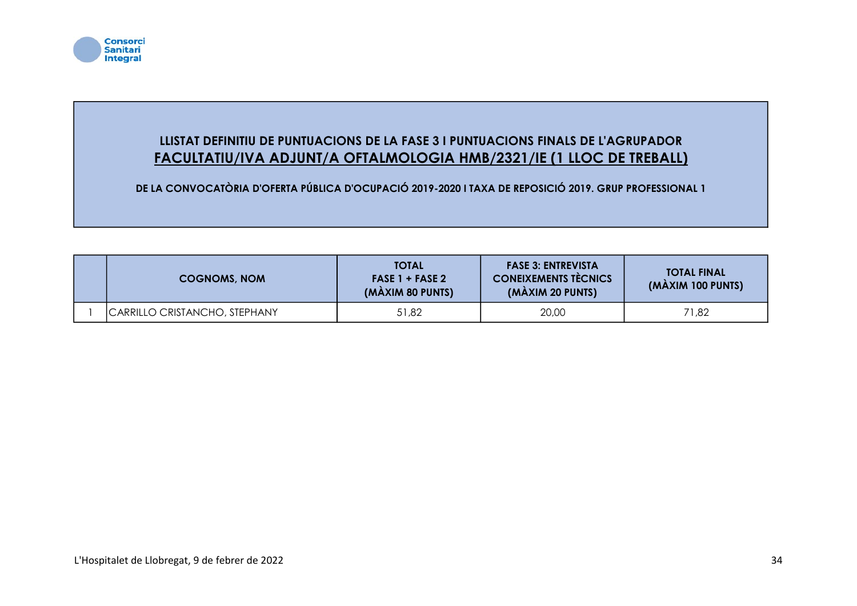

### LLISTAT DEFINITIU DE PUNTUACIONS DE LA FASE 3 I PUNTUACIONS FINALS DE L'AGRUPADOR FACULTATIU/IVA ADJUNT/A OFTALMOLOGIA HMB/2321/IE (1 LLOC DE TREBALL)

| <b>COGNOMS, NOM</b>           | <b>TOTAL</b><br>$FASE 1 + FASE 2$<br>(MÀXIM 80 PUNTS) | <b>FASE 3: ENTREVISTA</b><br><b>CONEIXEMENTS TÈCNICS</b><br>(MÀXIM 20 PUNTS) | <b>TOTAL FINAL</b><br>(MAXIM 100 PUNTS) |
|-------------------------------|-------------------------------------------------------|------------------------------------------------------------------------------|-----------------------------------------|
| CARRILLO CRISTANCHO, STEPHANY | 51,82                                                 | 20,00                                                                        | 71,82                                   |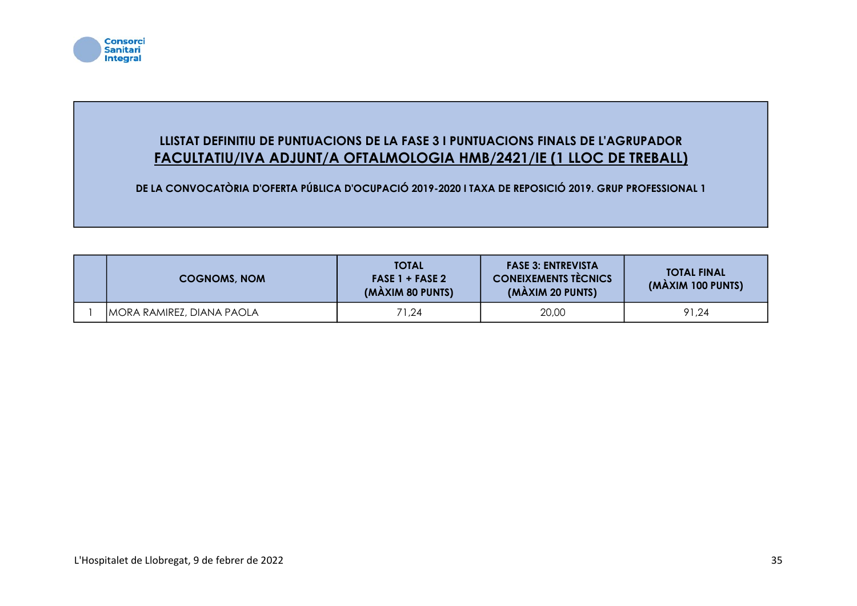

### LLISTAT DEFINITIU DE PUNTUACIONS DE LA FASE 3 I PUNTUACIONS FINALS DE L'AGRUPADOR FACULTATIU/IVA ADJUNT/A OFTALMOLOGIA HMB/2421/IE (1 LLOC DE TREBALL)

| <b>COGNOMS, NOM</b>       | <b>TOTAL</b><br>$FASE 1 + FASE 2$<br>(MÀXIM 80 PUNTS) | <b>FASE 3: ENTREVISTA</b><br><b>CONEIXEMENTS TÈCNICS</b><br>(MÀXIM 20 PUNTS) | <b>TOTAL FINAL</b><br>(MAXIM 100 PUNTS) |
|---------------------------|-------------------------------------------------------|------------------------------------------------------------------------------|-----------------------------------------|
| MORA RAMIREZ, DIANA PAOLA | 71.24                                                 | 20,00                                                                        | 91.24                                   |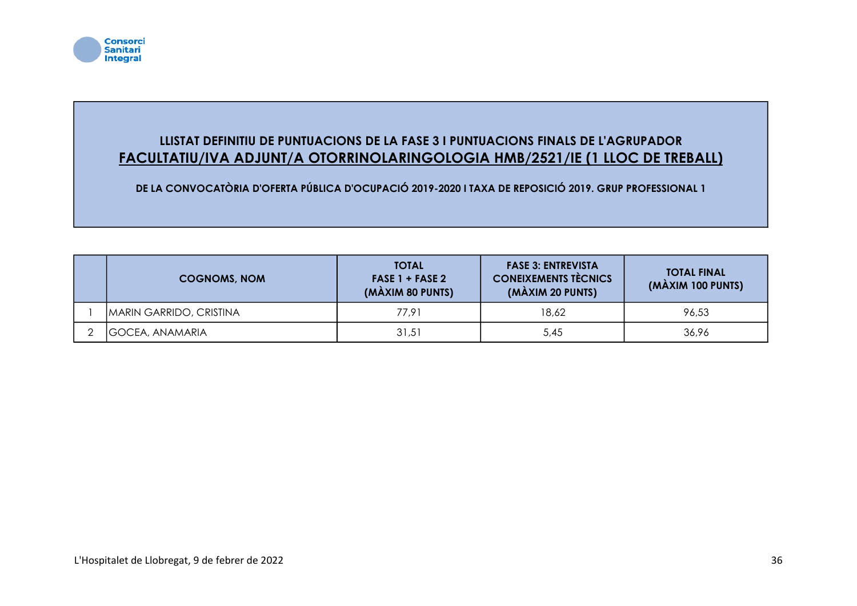

### LLISTAT DEFINITIU DE PUNTUACIONS DE LA FASE 3 I PUNTUACIONS FINALS DE L'AGRUPADOR FACULTATIU/IVA ADJUNT/A OTORRINOLARINGOLOGIA HMB/2521/IE (1 LLOC DE TREBALL)

| <b>COGNOMS, NOM</b>            | <b>TOTAL</b><br>$FASE 1 + FASE 2$<br>(MÀXIM 80 PUNTS) | <b>FASE 3: ENTREVISTA</b><br><b>CONEIXEMENTS TÈCNICS</b><br>(MÀXIM 20 PUNTS) | <b>TOTAL FINAL</b><br>(MÀXIM 100 PUNTS) |
|--------------------------------|-------------------------------------------------------|------------------------------------------------------------------------------|-----------------------------------------|
| <b>MARIN GARRIDO, CRISTINA</b> | 77.91                                                 | 18,62                                                                        | 96,53                                   |
| <b>GOCEA, ANAMARIA</b>         | 31,51                                                 | 5,45                                                                         | 36,96                                   |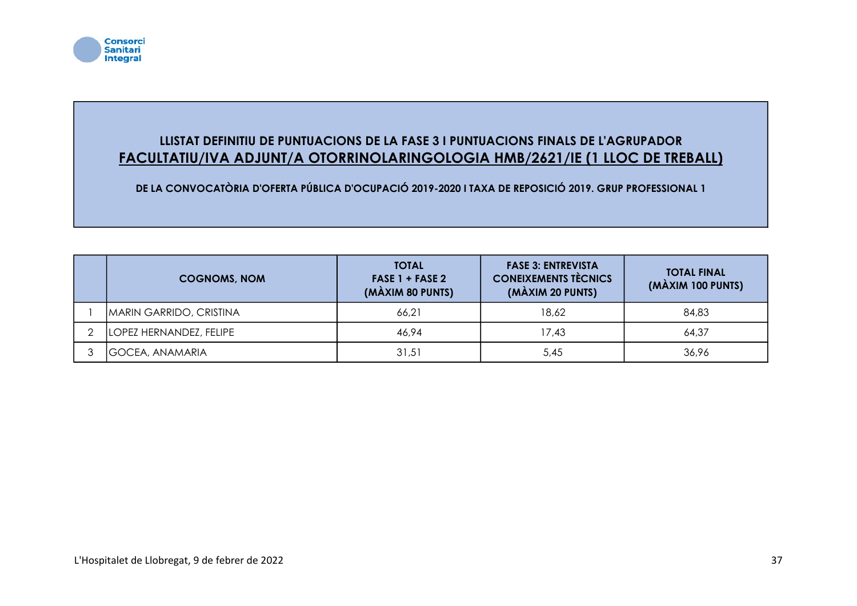

### LLISTAT DEFINITIU DE PUNTUACIONS DE LA FASE 3 I PUNTUACIONS FINALS DE L'AGRUPADOR FACULTATIU/IVA ADJUNT/A OTORRINOLARINGOLOGIA HMB/2621/IE (1 LLOC DE TREBALL)

| <b>COGNOMS, NOM</b>            | <b>TOTAL</b><br>$FASE 1 + FASE 2$<br>(MÀXIM 80 PUNTS) | <b>FASE 3: ENTREVISTA</b><br><b>CONEIXEMENTS TÈCNICS</b><br>(MÀXIM 20 PUNTS) | <b>TOTAL FINAL</b><br>(MÀXIM 100 PUNTS) |
|--------------------------------|-------------------------------------------------------|------------------------------------------------------------------------------|-----------------------------------------|
| <b>MARIN GARRIDO, CRISTINA</b> | 66,21                                                 | 18,62                                                                        | 84,83                                   |
| LOPEZ HERNANDEZ, FELIPE        | 46.94                                                 | 17,43                                                                        | 64,37                                   |
| <b>IGOCEA, ANAMARIA</b>        | 31,51                                                 | 5,45                                                                         | 36,96                                   |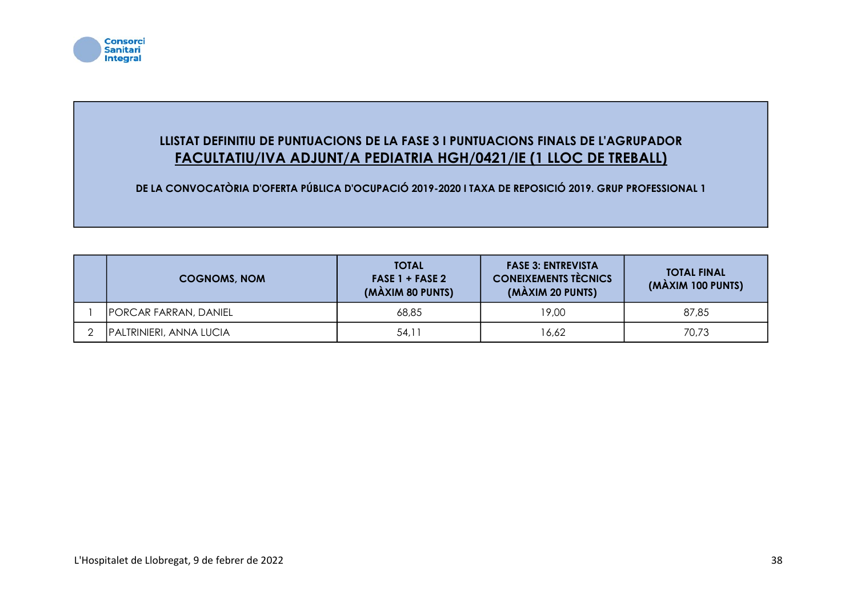

## LLISTAT DEFINITIU DE PUNTUACIONS DE LA FASE 3 I PUNTUACIONS FINALS DE L'AGRUPADOR FACULTATIU/IVA ADJUNT/A PEDIATRIA HGH/0421/IE (1 LLOC DE TREBALL)

| <b>COGNOMS, NOM</b>          | <b>TOTAL</b><br>$FASE 1 + FASE 2$<br>(MÀXIM 80 PUNTS) | <b>FASE 3: ENTREVISTA</b><br><b>CONEIXEMENTS TÈCNICS</b><br>(MÀXIM 20 PUNTS) | <b>TOTAL FINAL</b><br>(MÀXIM 100 PUNTS) |
|------------------------------|-------------------------------------------------------|------------------------------------------------------------------------------|-----------------------------------------|
| <b>PORCAR FARRAN, DANIEL</b> | 68,85                                                 | 19,00                                                                        | 87,85                                   |
| PALTRINIERI, ANNA LUCIA      | 54,11                                                 | 16,62                                                                        | 70,73                                   |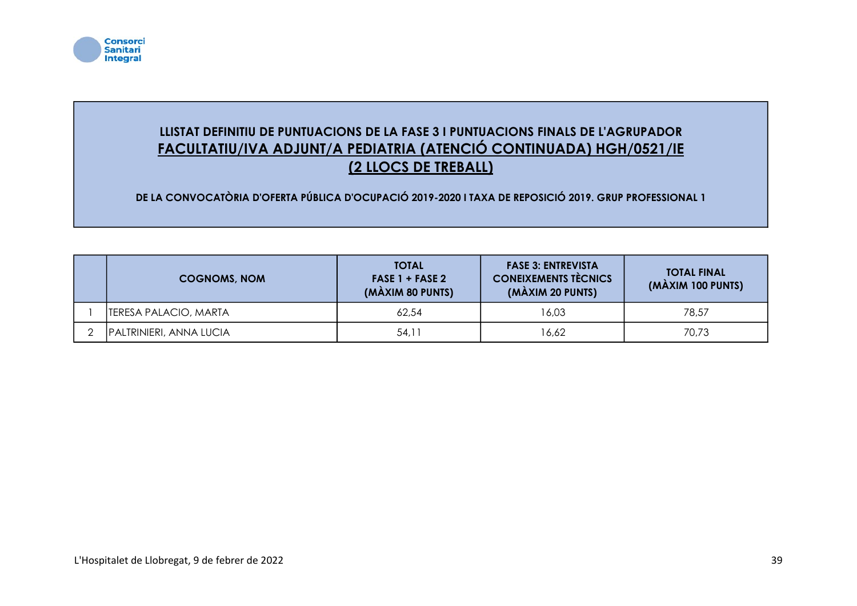

## LLISTAT DEFINITIU DE PUNTUACIONS DE LA FASE 3 I PUNTUACIONS FINALS DE L'AGRUPADOR FACULTATIU/IVA ADJUNT/A PEDIATRIA (ATENCIÓ CONTINUADA) HGH/0521/IE (2 LLOCS DE TREBALL)

| <b>COGNOMS, NOM</b>     | <b>TOTAL</b><br>$FASE 1 + FASE 2$<br>(MÀXIM 80 PUNTS) | <b>FASE 3: ENTREVISTA</b><br><b>CONEIXEMENTS TÈCNICS</b><br>(MÀXIM 20 PUNTS) | <b>TOTAL FINAL</b><br>(MÀXIM 100 PUNTS) |
|-------------------------|-------------------------------------------------------|------------------------------------------------------------------------------|-----------------------------------------|
| ITERESA PALACIO, MARTA  | 62.54                                                 | 16,03                                                                        | 78,57                                   |
| PALTRINIERI, ANNA LUCIA | 54.11                                                 | 16,62                                                                        | 70,73                                   |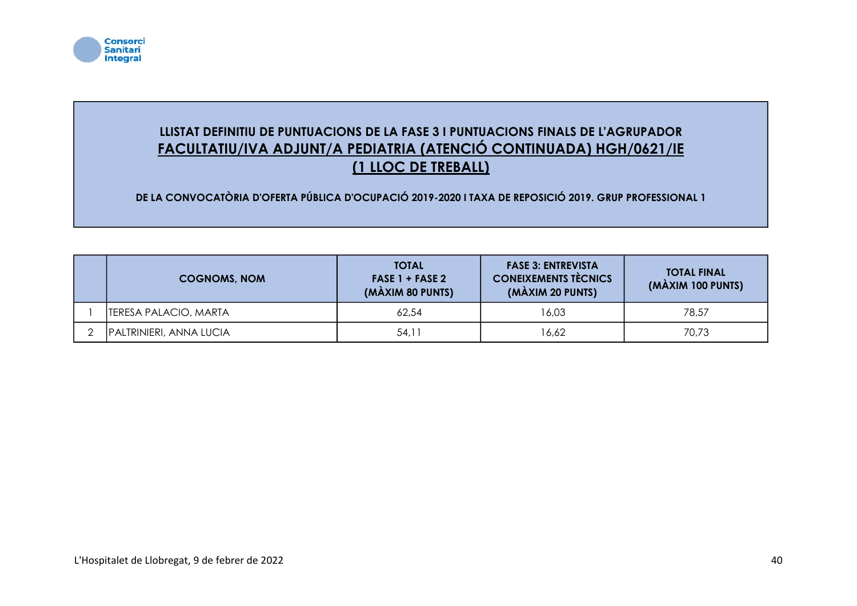

## LLISTAT DEFINITIU DE PUNTUACIONS DE LA FASE 3 I PUNTUACIONS FINALS DE L'AGRUPADOR FACULTATIU/IVA ADJUNT/A PEDIATRIA (ATENCIÓ CONTINUADA) HGH/0621/IE (1 LLOC DE TREBALL)

| <b>COGNOMS, NOM</b>            | <b>TOTAL</b><br>$FASE 1 + FASE 2$<br>(MÀXIM 80 PUNTS) | <b>FASE 3: ENTREVISTA</b><br><b>CONEIXEMENTS TÈCNICS</b><br>(MÀXIM 20 PUNTS) | <b>TOTAL FINAL</b><br>(MÀXIM 100 PUNTS) |
|--------------------------------|-------------------------------------------------------|------------------------------------------------------------------------------|-----------------------------------------|
| ITERESA PALACIO, MARTA         | 62,54                                                 | 16,03                                                                        | 78,57                                   |
| <b>PALTRINIERI, ANNA LUCIA</b> | 54.11                                                 | 16,62                                                                        | 70,73                                   |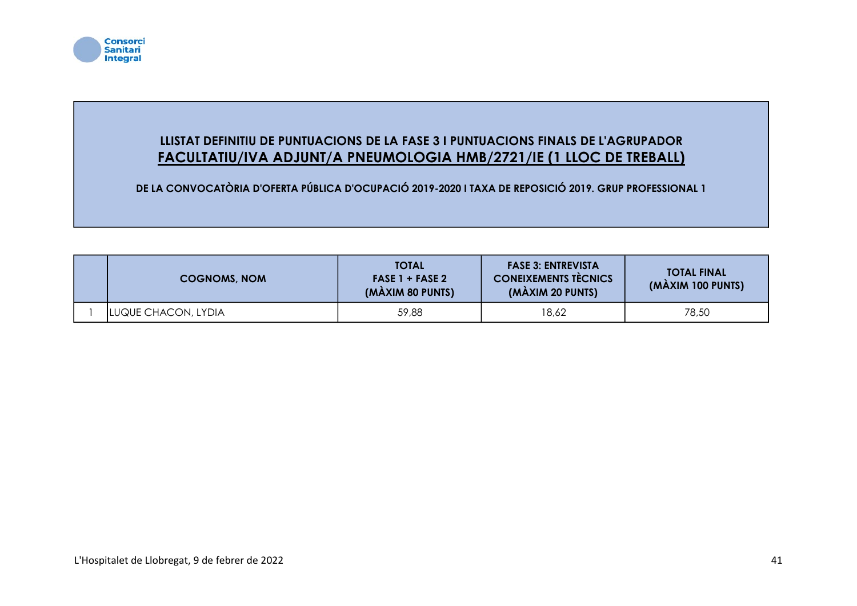

## LLISTAT DEFINITIU DE PUNTUACIONS DE LA FASE 3 I PUNTUACIONS FINALS DE L'AGRUPADOR FACULTATIU/IVA ADJUNT/A PNEUMOLOGIA HMB/2721/IE (1 LLOC DE TREBALL)

| <b>COGNOMS, NOM</b> | <b>TOTAL</b><br>$FASE 1 + FASE 2$<br>(MÀXIM 80 PUNTS) | <b>FASE 3: ENTREVISTA</b><br><b>CONEIXEMENTS TECNICS</b><br>(MÀXIM 20 PUNTS) | <b>TOTAL FINAL</b><br>(MÀXIM 100 PUNTS) |
|---------------------|-------------------------------------------------------|------------------------------------------------------------------------------|-----------------------------------------|
| LUQUE CHACON, LYDIA | 59,88                                                 | 18,62                                                                        | 78,50                                   |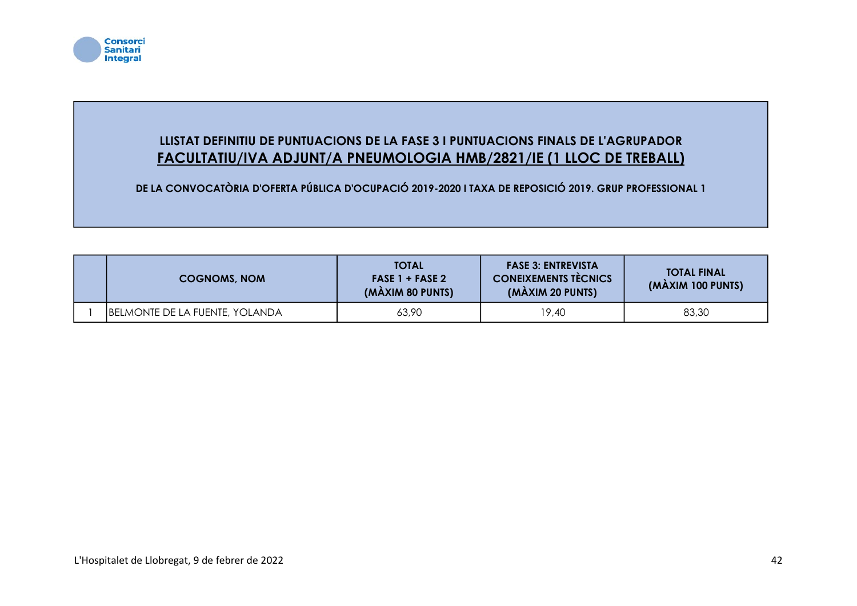

## LLISTAT DEFINITIU DE PUNTUACIONS DE LA FASE 3 I PUNTUACIONS FINALS DE L'AGRUPADOR FACULTATIU/IVA ADJUNT/A PNEUMOLOGIA HMB/2821/IE (1 LLOC DE TREBALL)

| <b>COGNOMS, NOM</b>            | <b>TOTAL</b><br>$FASE 1 + FASE 2$<br>(MÀXIM 80 PUNTS) | <b>FASE 3: ENTREVISTA</b><br><b>CONEIXEMENTS TECNICS</b><br>(MÀXIM 20 PUNTS) | <b>TOTAL FINAL</b><br>(MAXIM 100 PUNTS) |
|--------------------------------|-------------------------------------------------------|------------------------------------------------------------------------------|-----------------------------------------|
| BELMONTE DE LA FUENTE, YOLANDA | 63,90                                                 | 19,40                                                                        | 83,30                                   |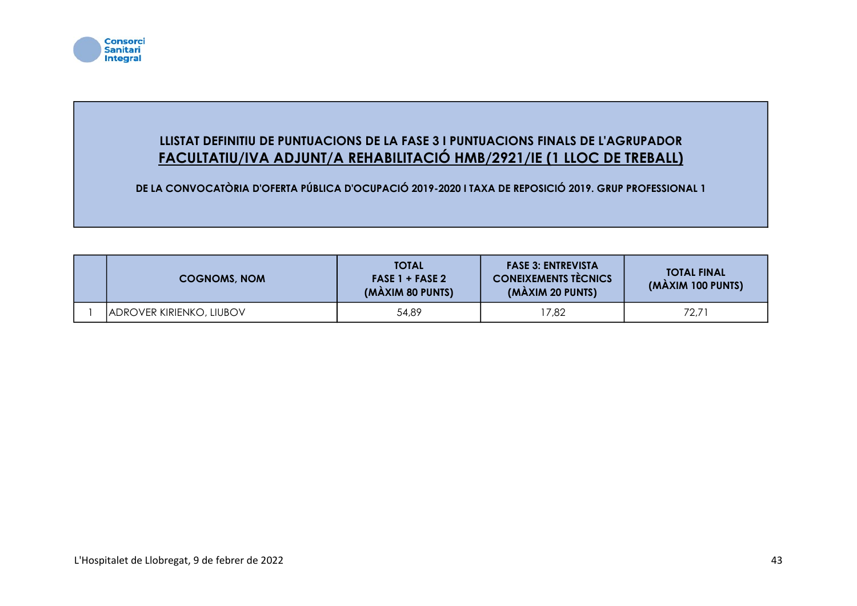

## LLISTAT DEFINITIU DE PUNTUACIONS DE LA FASE 3 I PUNTUACIONS FINALS DE L'AGRUPADOR FACULTATIU/IVA ADJUNT/A REHABILITACIÓ HMB/2921/IE (1 LLOC DE TREBALL)

| <b>COGNOMS, NOM</b>      | <b>TOTAL</b><br>$FASE 1 + FASE 2$<br>(MÀXIM 80 PUNTS) | <b>FASE 3: ENTREVISTA</b><br><b>CONEIXEMENTS TÈCNICS</b><br>(MÀXIM 20 PUNTS) | <b>TOTAL FINAL</b><br>(MAXIM 100 PUNTS) |
|--------------------------|-------------------------------------------------------|------------------------------------------------------------------------------|-----------------------------------------|
| ADROVER KIRIENKO, LIUBOV | 54,89                                                 | 7,82                                                                         | 72,71                                   |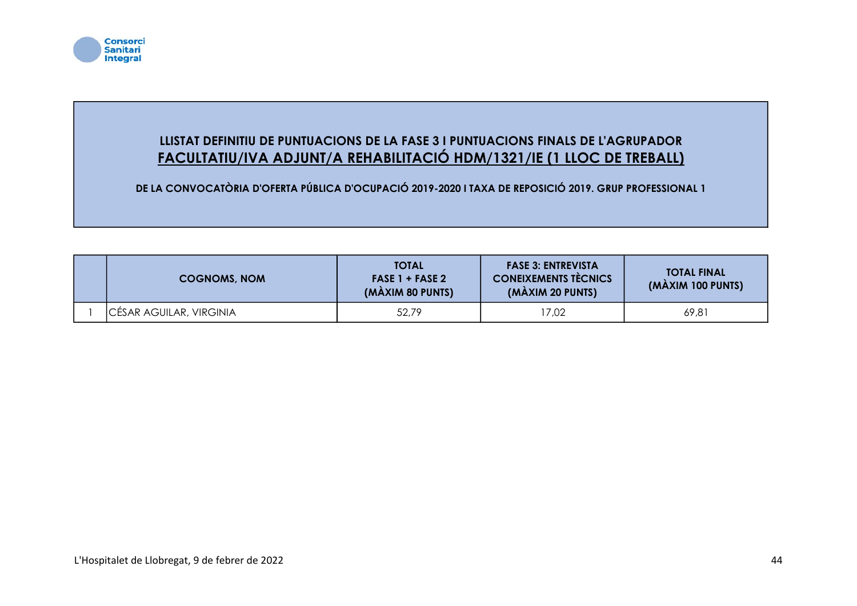

## LLISTAT DEFINITIU DE PUNTUACIONS DE LA FASE 3 I PUNTUACIONS FINALS DE L'AGRUPADOR FACULTATIU/IVA ADJUNT/A REHABILITACIÓ HDM/1321/IE (1 LLOC DE TREBALL)

| <b>COGNOMS, NOM</b>     | <b>TOTAL</b><br>$FASE1 + FASE2$<br>(MÀXIM 80 PUNTS) | <b>FASE 3: ENTREVISTA</b><br><b>CONEIXEMENTS TÈCNICS</b><br>(MÀXIM 20 PUNTS) | <b>TOTAL FINAL</b><br>(MAXIM 100 PUNTS) |
|-------------------------|-----------------------------------------------------|------------------------------------------------------------------------------|-----------------------------------------|
| CÉSAR AGUILAR, VIRGINIA | 52,79                                               | 7,02                                                                         | 69,81                                   |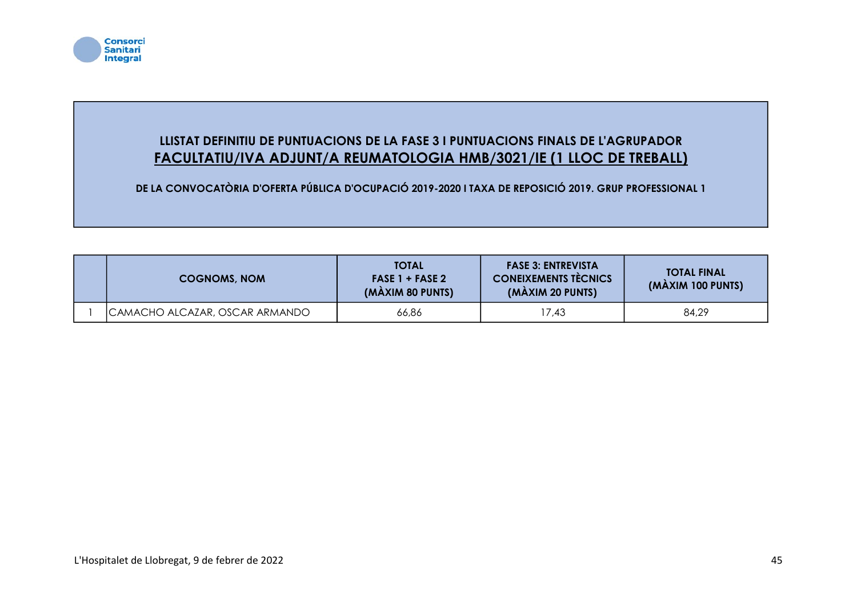

### LLISTAT DEFINITIU DE PUNTUACIONS DE LA FASE 3 I PUNTUACIONS FINALS DE L'AGRUPADOR FACULTATIU/IVA ADJUNT/A REUMATOLOGIA HMB/3021/IE (1 LLOC DE TREBALL)

| <b>COGNOMS, NOM</b>            | <b>TOTAL</b><br>FASE $1 +$ FASE $2$<br>(MAXIM 80 PUNTS) | <b>FASE 3: ENTREVISTA</b><br><b>CONEIXEMENTS TECNICS</b><br>(MÀXIM 20 PUNTS) | <b>TOTAL FINAL</b><br>(MAXIM 100 PUNTS) |
|--------------------------------|---------------------------------------------------------|------------------------------------------------------------------------------|-----------------------------------------|
| CAMACHO ALCAZAR, OSCAR ARMANDO | 66,86                                                   | 7,43                                                                         | 84,29                                   |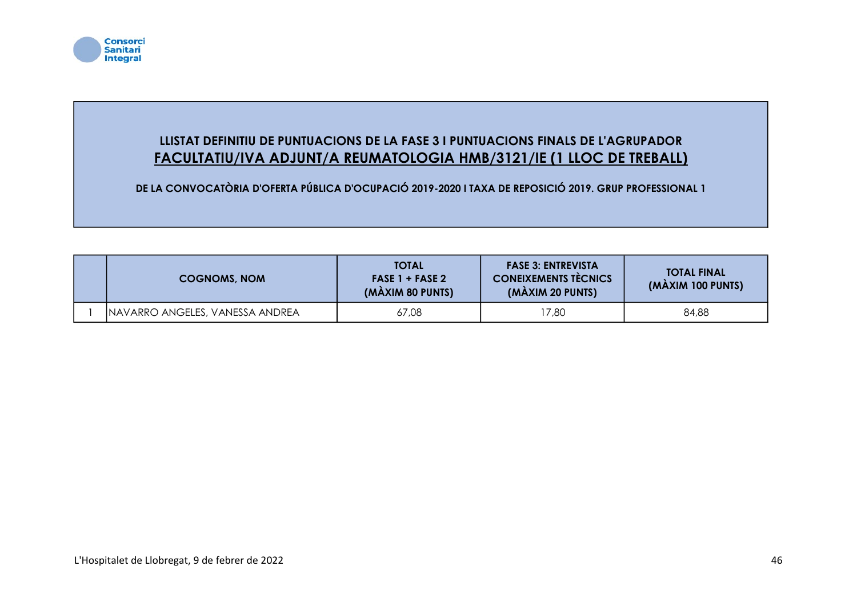

### LLISTAT DEFINITIU DE PUNTUACIONS DE LA FASE 3 I PUNTUACIONS FINALS DE L'AGRUPADOR FACULTATIU/IVA ADJUNT/A REUMATOLOGIA HMB/3121/IE (1 LLOC DE TREBALL)

| <b>COGNOMS, NOM</b>             | <b>TOTAL</b><br>$FASE 1 + FASE 2$<br>(MÀXIM 80 PUNTS) | <b>FASE 3: ENTREVISTA</b><br><b>CONEIXEMENTS TECNICS</b><br>(MÀXIM 20 PUNTS) | <b>TOTAL FINAL</b><br>(MAXIM 100 PUNTS) |
|---------------------------------|-------------------------------------------------------|------------------------------------------------------------------------------|-----------------------------------------|
| NAVARRO ANGELES, VANESSA ANDREA | 67,08                                                 | 17,80                                                                        | 84,88                                   |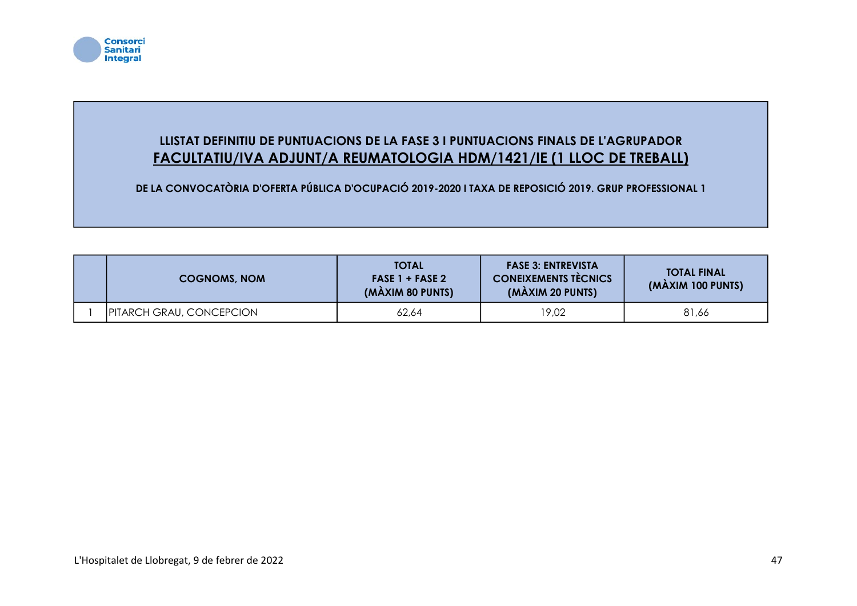

### LLISTAT DEFINITIU DE PUNTUACIONS DE LA FASE 3 I PUNTUACIONS FINALS DE L'AGRUPADOR FACULTATIU/IVA ADJUNT/A REUMATOLOGIA HDM/1421/IE (1 LLOC DE TREBALL)

| <b>COGNOMS, NOM</b>             | <b>TOTAL</b><br>$FASE 1 + FASE 2$<br>(MAXIM 80 PUNTS) | <b>FASE 3: ENTREVISTA</b><br><b>CONEIXEMENTS TECNICS</b><br>(MÀXIM 20 PUNTS) | <b>TOTAL FINAL</b><br>(MÀXIM 100 PUNTS) |
|---------------------------------|-------------------------------------------------------|------------------------------------------------------------------------------|-----------------------------------------|
| <b>PITARCH GRAU, CONCEPCION</b> | 62.64                                                 | 19,02                                                                        | 81.66                                   |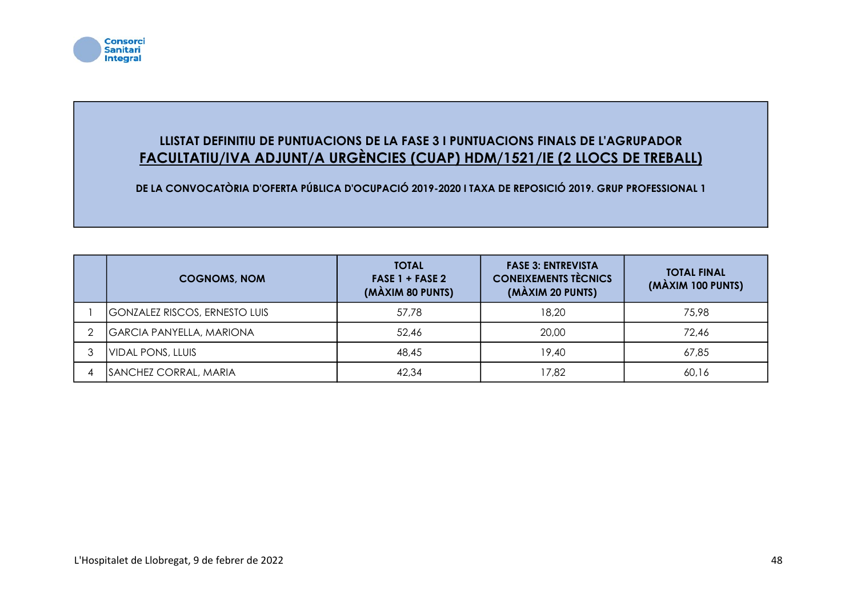

## LLISTAT DEFINITIU DE PUNTUACIONS DE LA FASE 3 I PUNTUACIONS FINALS DE L'AGRUPADOR FACULTATIU/IVA ADJUNT/A URGÈNCIES (CUAP) HDM/1521/IE (2 LLOCS DE TREBALL)

| <b>COGNOMS, NOM</b>                  | <b>TOTAL</b><br>FASE 1 + FASE 2<br>(MÀXIM 80 PUNTS) | <b>FASE 3: ENTREVISTA</b><br><b>CONEIXEMENTS TÈCNICS</b><br>(MÀXIM 20 PUNTS) | <b>TOTAL FINAL</b><br>(MÀXIM 100 PUNTS) |
|--------------------------------------|-----------------------------------------------------|------------------------------------------------------------------------------|-----------------------------------------|
| <b>GONZALEZ RISCOS, ERNESTO LUIS</b> | 57,78                                               | 18,20                                                                        | 75.98                                   |
| <b>GARCIA PANYELLA, MARIONA</b>      | 52,46                                               | 20,00                                                                        | 72,46                                   |
| VIDAL PONS, LLUIS                    | 48,45                                               | 19,40                                                                        | 67,85                                   |
| SANCHEZ CORRAL, MARIA                | 42,34                                               | 17,82                                                                        | 60,16                                   |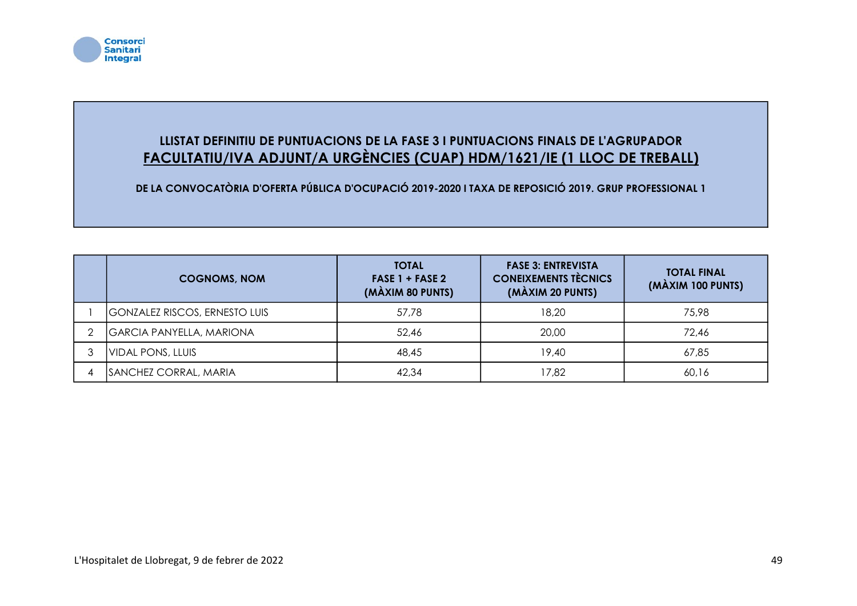

## LLISTAT DEFINITIU DE PUNTUACIONS DE LA FASE 3 I PUNTUACIONS FINALS DE L'AGRUPADOR FACULTATIU/IVA ADJUNT/A URGÈNCIES (CUAP) HDM/1621/IE (1 LLOC DE TREBALL)

| <b>COGNOMS, NOM</b>                  | <b>TOTAL</b><br>FASE $1 +$ FASE 2<br>(MÀXIM 80 PUNTS) | <b>FASE 3: ENTREVISTA</b><br><b>CONEIXEMENTS TÈCNICS</b><br>(MÀXIM 20 PUNTS) | <b>TOTAL FINAL</b><br>(MÀXIM 100 PUNTS) |
|--------------------------------------|-------------------------------------------------------|------------------------------------------------------------------------------|-----------------------------------------|
| <b>GONZALEZ RISCOS, ERNESTO LUIS</b> | 57,78                                                 | 18,20                                                                        | 75,98                                   |
| <b>GARCIA PANYELLA, MARIONA</b>      | 52,46                                                 | 20,00                                                                        | 72,46                                   |
| VIDAL PONS, LLUIS                    | 48,45                                                 | 19,40                                                                        | 67,85                                   |
| SANCHEZ CORRAL, MARIA                | 42,34                                                 | 17,82                                                                        | 60,16                                   |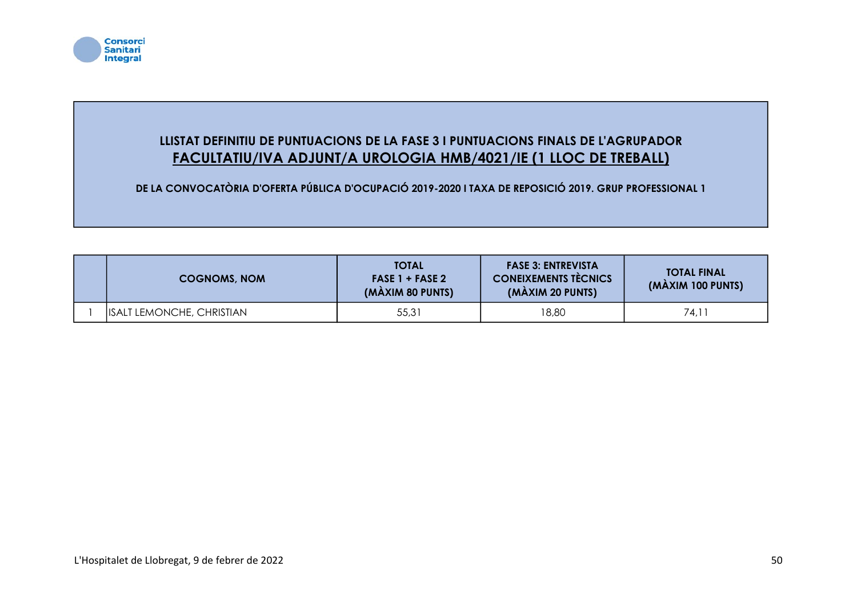

## LLISTAT DEFINITIU DE PUNTUACIONS DE LA FASE 3 I PUNTUACIONS FINALS DE L'AGRUPADOR FACULTATIU/IVA ADJUNT/A UROLOGIA HMB/4021/IE (1 LLOC DE TREBALL)

| <b>COGNOMS, NOM</b>              | <b>TOTAL</b><br>$FASE 1 + FASE 2$<br>(MÀXIM 80 PUNTS) | <b>FASE 3: ENTREVISTA</b><br><b>CONEIXEMENTS TÈCNICS</b><br>(MÀXIM 20 PUNTS) | <b>TOTAL FINAL</b><br>(MAXIM 100 PUNTS) |
|----------------------------------|-------------------------------------------------------|------------------------------------------------------------------------------|-----------------------------------------|
| <b>ISALT LEMONCHE, CHRISTIAN</b> | 55,31                                                 | 18,80                                                                        | 74.11                                   |